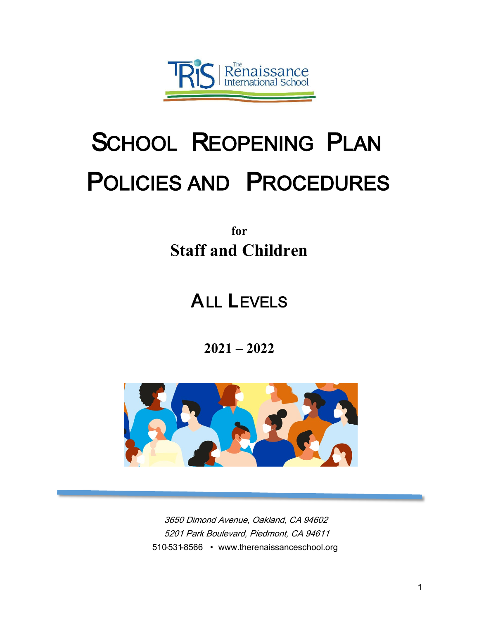

# SCHOOL REOPENING PLAN POLICIES AND PROCEDURES

## **for Staff and Children**

## ALL LEVELS

**2021 – 2022**



3650 Dimond Avenue, Oakland, CA 94602 5201 Park Boulevard, Piedmont, CA 94611 510-531-8566 • [www.therenaissanceschool.o](http://www.therenaissanceschool.org/)rg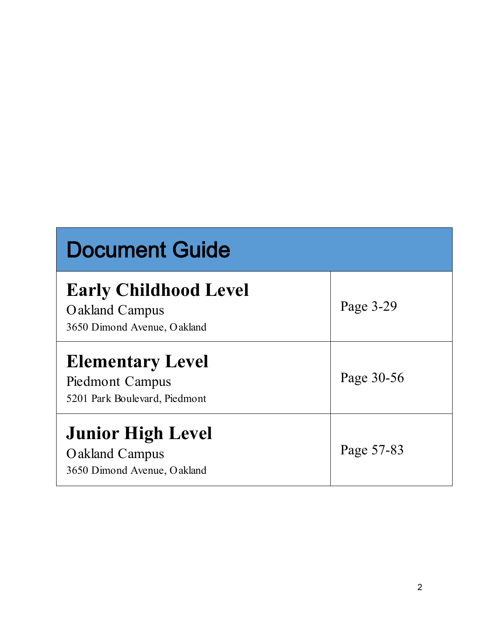| <b>Document Guide</b>                                                         |            |
|-------------------------------------------------------------------------------|------------|
| <b>Early Childhood Level</b><br>Oakland Campus<br>3650 Dimond Avenue, Oakland | Page 3-29  |
| <b>Elementary Level</b><br>Piedmont Campus<br>5201 Park Boulevard, Piedmont   | Page 30-56 |
| <b>Junior High Level</b><br>Oakland Campus<br>3650 Dimond Avenue, Oakland     | Page 57-83 |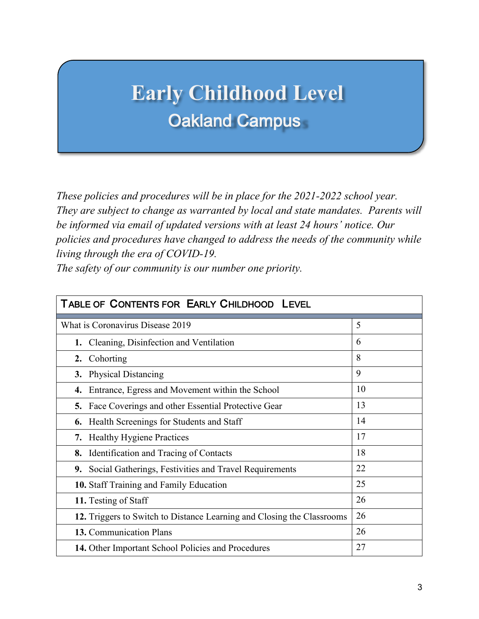## **Early Childhood Level** Oakland Campus

*These policies and procedures will be in place for the 2021-2022 school year. They are subject to change as warranted by local and state mandates. Parents will be informed via email of updated versions with at least 24 hours' notice. Our policies and procedures have changed to address the needs of the community while living through the era of COVID-19.* 

*The safety of our community is our number one priority.*

| TABLE OF CONTENTS FOR EARLY CHILDHOOD LEVEL                            |    |  |
|------------------------------------------------------------------------|----|--|
| What is Coronavirus Disease 2019                                       | 5  |  |
| Cleaning, Disinfection and Ventilation<br>1.                           | 6  |  |
| Cohorting<br>2.                                                        | 8  |  |
| <b>Physical Distancing</b><br>3.                                       | 9  |  |
| Entrance, Egress and Movement within the School<br>4.                  | 10 |  |
| Face Coverings and other Essential Protective Gear<br>5.               | 13 |  |
| Health Screenings for Students and Staff<br>6.                         | 14 |  |
| <b>Healthy Hygiene Practices</b><br>7.                                 | 17 |  |
| Identification and Tracing of Contacts<br>8.                           | 18 |  |
| Social Gatherings, Festivities and Travel Requirements<br>9.           | 22 |  |
| 10. Staff Training and Family Education                                | 25 |  |
| 11. Testing of Staff                                                   | 26 |  |
| 12. Triggers to Switch to Distance Learning and Closing the Classrooms | 26 |  |
| 13. Communication Plans                                                | 26 |  |
| 14. Other Important School Policies and Procedures                     | 27 |  |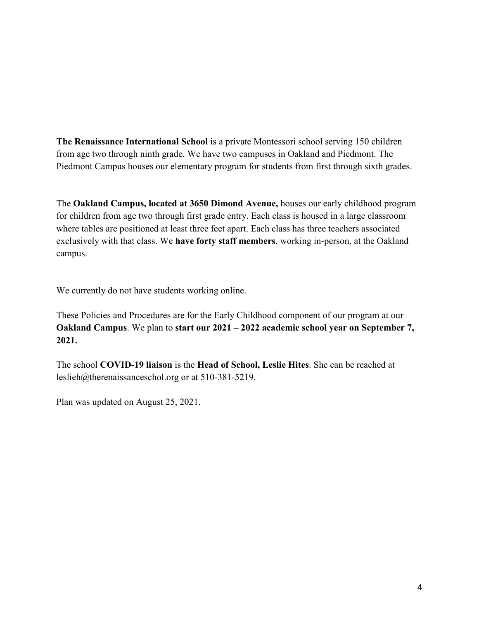**The Renaissance International School** is a private Montessori school serving 150 children from age two through ninth grade. We have two campuses in Oakland and Piedmont. The Piedmont Campus houses our elementary program for students from first through sixth grades.

The **Oakland Campus, located at 3650 Dimond Avenue,** houses our early childhood program for children from age two through first grade entry. Each class is housed in a large classroom where tables are positioned at least three feet apart. Each class has three teachers associated exclusively with that class. We **have forty staff members**, working in-person, at the Oakland campus.

We currently do not have students working online.

These Policies and Procedures are for the Early Childhood component of our program at our **Oakland Campus**. We plan to **start our 2021 – 2022 academic school year on September 7, 2021.** 

The school **COVID-19 liaison** is the **Head of School, Leslie Hites**. She can be reached at [leslieh@therenaissanceschol.org](mailto:leslieh@therenaissanceschol.org) or at 510-381-5219.

Plan was updated on August 25, 2021.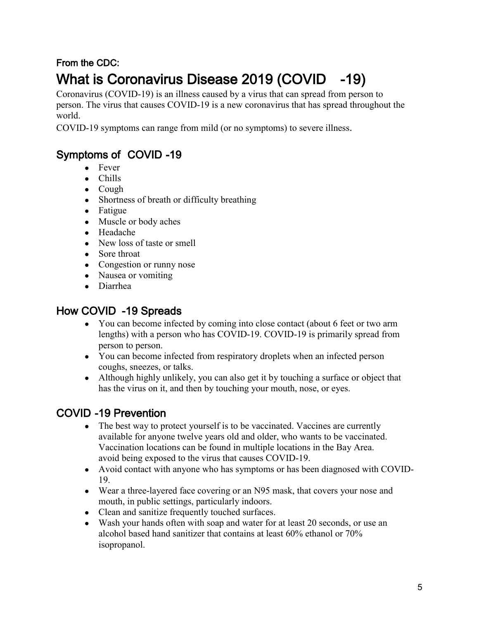## From the CDC: What is Coronavirus Disease 2019 (COVID -19)

Coronavirus (COVID-19) is an illness caused by a virus that can spread from person to person. The virus that causes COVID-19 is a new coronavirus that has spread throughout the world.

COVID-19 symptoms can range from mild (or no symptoms) to severe illness.

### Symptoms of COVID -19

- Fever
- Chills
- Cough
- Shortness of breath or difficulty breathing
- Fatigue
- Muscle or body aches
- Headache
- New loss of taste or smell
- Sore throat
- Congestion or runny nose
- Nausea or vomiting
- Diarrhea

### How COVID -19 Spreads

- You can become infected by coming into close contact (about 6 feet or two arm lengths) with a person who has COVID-19. COVID-19 is primarily spread from person to person.
- You can become infected from respiratory droplets when an infected person coughs, sneezes, or talks.
- Although highly unlikely, you can also get it by touching a surface or object that has the virus on it, and then by touching your mouth, nose, or eyes.

### COVID -19 Prevention

- The best way to protect yourself is to be vaccinated. Vaccines are currently available for anyone twelve years old and older, who wants to be vaccinated. Vaccination locations can be found in multiple locations in the Bay Area. avoid being exposed to the virus that causes COVID-19.
- Avoid contact with anyone who has symptoms or has been diagnosed with COVID-19.
- Wear a three-layered face covering or an N95 mask, that covers your nose and mouth, in public settings, particularly indoors.
- Clean and sanitize frequently touched surfaces.
- Wash your hands often with soap and water for at least 20 seconds, or use an alcohol based hand sanitizer that contains at least 60% ethanol or 70% isopropanol.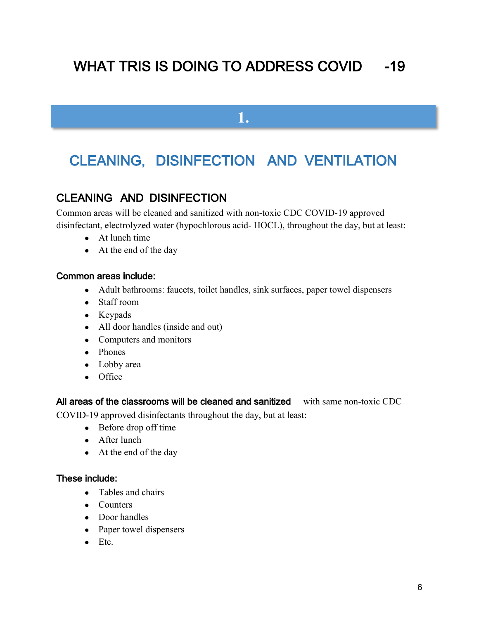## WHAT TRIS IS DOING TO ADDRESS COVID -19

**1.**

## CLEANING, DISINFECTION AND VENTILATION

### CLEANING AND DISINFECTION

Common areas will be cleaned and sanitized with non-toxic CDC COVID-19 approved disinfectant, electrolyzed water (hypochlorous acid- HOCL), throughout the day, but at least:

- At lunch time
- At the end of the day

#### Common areas include:

- Adult bathrooms: faucets, toilet handles, sink surfaces, paper towel dispensers
- Staff room
- Keypads
- All door handles (inside and out)
- Computers and monitors
- Phones
- Lobby area
- Office

All areas of the classrooms will be cleaned and sanitized with same non-toxic CDC

COVID-19 approved disinfectants throughout the day, but at least:

- Before drop off time
- After lunch
- At the end of the day

#### These include:

- Tables and chairs
- Counters
- Door handles
- Paper towel dispensers
- $\bullet$  Etc.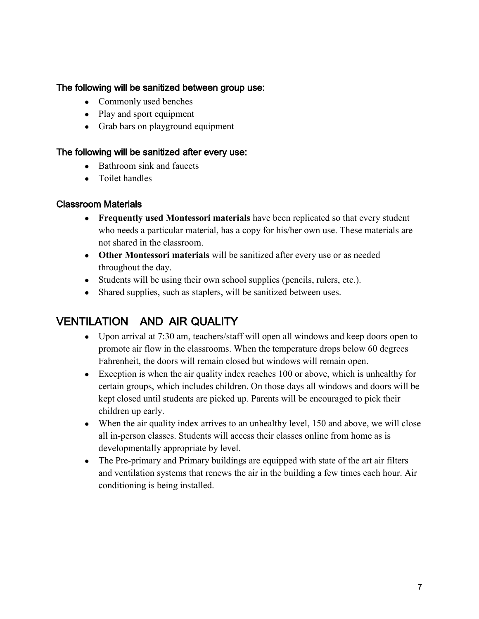#### The following will be sanitized between group use:

- Commonly used benches
- Play and sport equipment
- Grab bars on playground equipment

#### The following will be sanitized after every use:

- Bathroom sink and faucets
- Toilet handles

#### Classroom Materials

- **Frequently used Montessori materials** have been replicated so that every student who needs a particular material, has a copy for his/her own use. These materials are not shared in the classroom.
- **Other Montessori materials** will be sanitized after every use or as needed throughout the day.
- Students will be using their own school supplies (pencils, rulers, etc.).
- Shared supplies, such as staplers, will be sanitized between uses.

### VENTILATION AND AIR QUALITY

- Upon arrival at 7:30 am, teachers/staff will open all windows and keep doors open to promote air flow in the classrooms. When the temperature drops below 60 degrees Fahrenheit, the doors will remain closed but windows will remain open.
- Exception is when the air quality index reaches 100 or above, which is unhealthy for certain groups, which includes children. On those days all windows and doors will be kept closed until students are picked up. Parents will be encouraged to pick their children up early.
- When the air quality index arrives to an unhealthy level, 150 and above, we will close all in-person classes. Students will access their classes online from home as is developmentally appropriate by level.
- The Pre-primary and Primary buildings are equipped with state of the art air filters and ventilation systems that renews the air in the building a few times each hour. Air conditioning is being installed.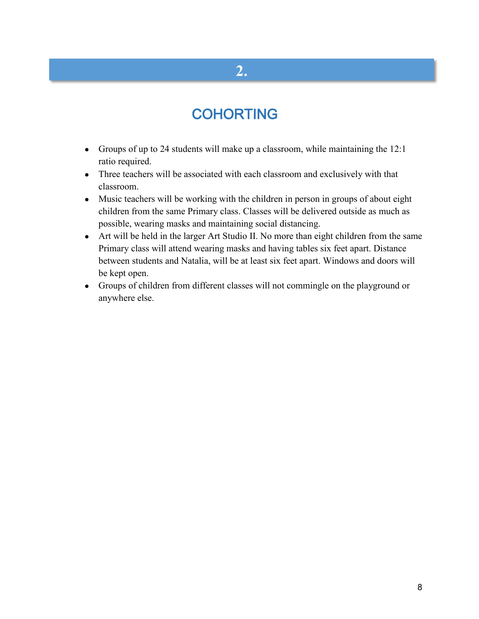## **2.**

## **COHORTING**

- Groups of up to 24 students will make up a classroom, while maintaining the 12:1 ratio required.
- Three teachers will be associated with each classroom and exclusively with that classroom.
- Music teachers will be working with the children in person in groups of about eight children from the same Primary class. Classes will be delivered outside as much as possible, wearing masks and maintaining social distancing.
- Art will be held in the larger Art Studio II. No more than eight children from the same Primary class will attend wearing masks and having tables six feet apart. Distance between students and Natalia, will be at least six feet apart. Windows and doors will be kept open.
- Groups of children from different classes will not commingle on the playground or anywhere else.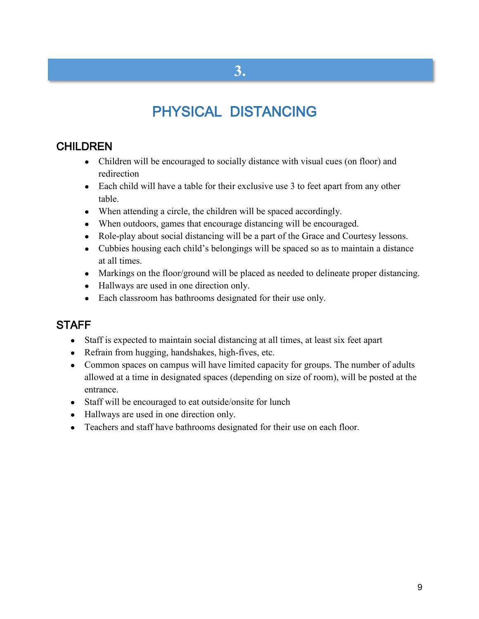## PHYSICAL DISTANCING

### **CHILDREN**

- Children will be encouraged to socially distance with visual cues (on floor) and redirection
- Each child will have a table for their exclusive use 3 to feet apart from any other table.
- When attending a circle, the children will be spaced accordingly.
- When outdoors, games that encourage distancing will be encouraged.
- Role-play about social distancing will be a part of the Grace and Courtesy lessons.
- Cubbies housing each child's belongings will be spaced so as to maintain a distance at all times.
- Markings on the floor/ground will be placed as needed to delineate proper distancing.
- Hallways are used in one direction only.
- Each classroom has bathrooms designated for their use only.

### **STAFF**

- Staff is expected to maintain social distancing at all times, at least six feet apart
- Refrain from hugging, handshakes, high-fives, etc.
- Common spaces on campus will have limited capacity for groups. The number of adults allowed at a time in designated spaces (depending on size of room), will be posted at the entrance.
- Staff will be encouraged to eat outside/onsite for lunch
- Hallways are used in one direction only.
- Teachers and staff have bathrooms designated for their use on each floor.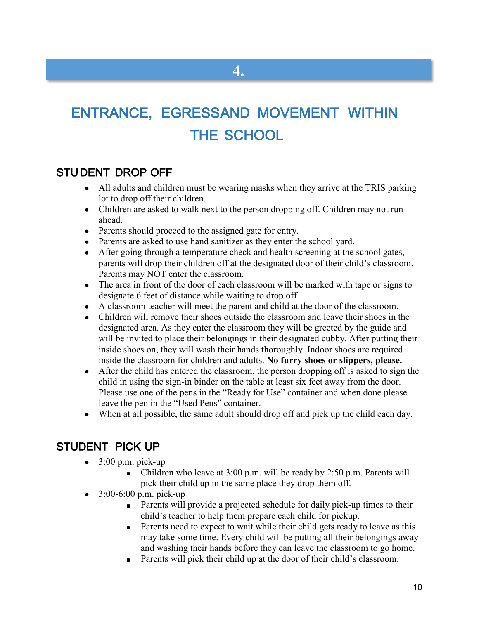## ENTRANCE, EGRESSAND MOVEMENT WITHIN THE SCHOOL

**4.**

### STU DENT DROP OFF

- All adults and children must be wearing masks when they arrive at the TRIS parking lot to drop off their children.
- Children are asked to walk next to the person dropping off. Children may not run ahead.
- Parents should proceed to the assigned gate for entry.
- Parents are asked to use hand sanitizer as they enter the school yard.
- After going through a temperature check and health screening at the school gates, parents will drop their children off at the designated door of their child's classroom. Parents may NOT enter the classroom.
- The area in front of the door of each classroom will be marked with tape or signs to designate 6 feet of distance while waiting to drop off.
- A classroom teacher will meet the parent and child at the door of the classroom.
- Children will remove their shoes outside the classroom and leave their shoes in the designated area. As they enter the classroom they will be greeted by the guide and will be invited to place their belongings in their designated cubby. After putting their inside shoes on, they will wash their hands thoroughly. Indoor shoes are required inside the classroom for children and adults. **No furry shoes or slippers, please.**
- After the child has entered the classroom, the person dropping off is asked to sign the child in using the sign-in binder on the table at least six feet away from the door. Please use one of the pens in the "Ready for Use" container and when done please leave the pen in the "Used Pens" container.
- When at all possible, the same adult should drop off and pick up the child each day.

### STUDENT PICK UP

- $\bullet$  3:00 p.m. pick-up
	- Children who leave at  $3:00$  p.m. will be ready by  $2:50$  p.m. Parents will pick their child up in the same place they drop them off.
- $\bullet$  3:00-6:00 p.m. pick-up
	- Parents will provide a projected schedule for daily pick-up times to their child's teacher to help them prepare each child for pickup.
	- Parents need to expect to wait while their child gets ready to leave as this may take some time. Every child will be putting all their belongings away and washing their hands before they can leave the classroom to go home.
	- Parents will pick their child up at the door of their child's classroom.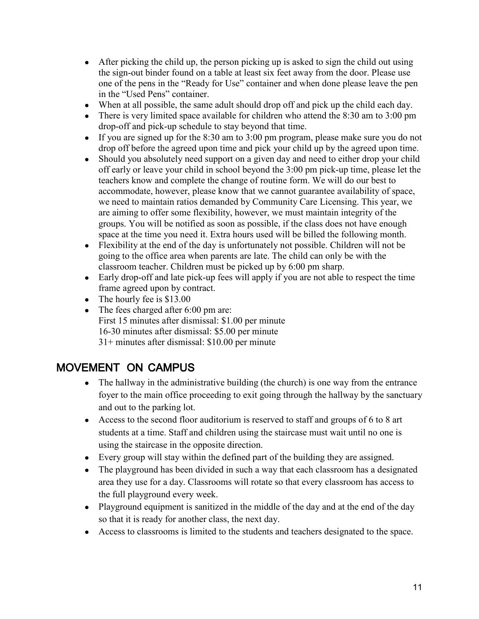- After picking the child up, the person picking up is asked to sign the child out using the sign-out binder found on a table at least six feet away from the door. Please use one of the pens in the "Ready for Use" container and when done please leave the pen in the "Used Pens" container.
- When at all possible, the same adult should drop off and pick up the child each day.
- There is very limited space available for children who attend the  $8:30$  am to  $3:00$  pm drop-off and pick-up schedule to stay beyond that time.
- If you are signed up for the 8:30 am to 3:00 pm program, please make sure you do not drop off before the agreed upon time and pick your child up by the agreed upon time.
- Should you absolutely need support on a given day and need to either drop your child off early or leave your child in school beyond the 3:00 pm pick-up time, please let the teachers know and complete the change of routine form. We will do our best to accommodate, however, please know that we cannot guarantee availability of space, we need to maintain ratios demanded by Community Care Licensing. This year, we are aiming to offer some flexibility, however, we must maintain integrity of the groups. You will be notified as soon as possible, if the class does not have enough space at the time you need it. Extra hours used will be billed the following month.
- Flexibility at the end of the day is unfortunately not possible. Children will not be going to the office area when parents are late. The child can only be with the classroom teacher. Children must be picked up by 6:00 pm sharp.
- Early drop-off and late pick-up fees will apply if you are not able to respect the time frame agreed upon by contract.
- The hourly fee is  $$13.00$
- The fees charged after  $6:00$  pm are: First 15 minutes after dismissal: \$1.00 per minute 16-30 minutes after dismissal: \$5.00 per minute 31+ minutes after dismissal: \$10.00 per minute

### MOVEMENT ON CAMPUS

- $\bullet$  The hallway in the administrative building (the church) is one way from the entrance foyer to the main office proceeding to exit going through the hallway by the sanctuary and out to the parking lot.
- Access to the second floor auditorium is reserved to staff and groups of 6 to 8 art students at a time. Staff and children using the staircase must wait until no one is using the staircase in the opposite direction.
- Every group will stay within the defined part of the building they are assigned.
- The playground has been divided in such a way that each classroom has a designated area they use for a day. Classrooms will rotate so that every classroom has access to the full playground every week.
- Playground equipment is sanitized in the middle of the day and at the end of the day so that it is ready for another class, the next day.
- Access to classrooms is limited to the students and teachers designated to the space.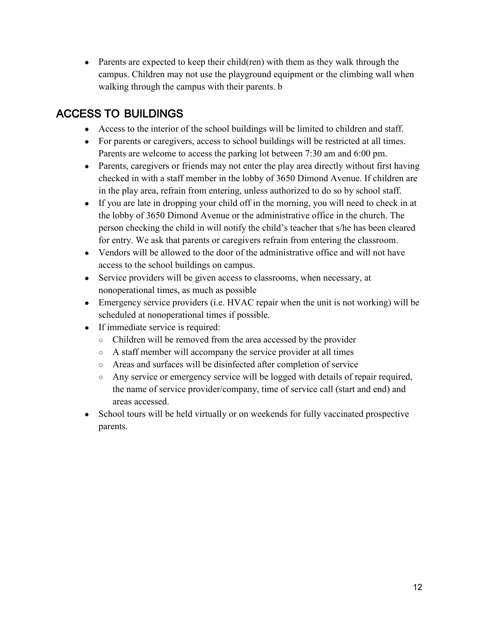• Parents are expected to keep their child(ren) with them as they walk through the campus. Children may not use the playground equipment or the climbing wall when walking through the campus with their parents. b

### ACCESS TO BUILDINGS

- Access to the interior of the school buildings will be limited to children and staff.
- For parents or caregivers, access to school buildings will be restricted at all times. Parents are welcome to access the parking lot between 7:30 am and 6:00 pm.
- Parents, caregivers or friends may not enter the play area directly without first having checked in with a staff member in the lobby of 3650 Dimond Avenue. If children are in the play area, refrain from entering, unless authorized to do so by school staff.
- If you are late in dropping your child off in the morning, you will need to check in at the lobby of 3650 Dimond Avenue or the administrative office in the church. The person checking the child in will notify the child's teacher that s/he has been cleared for entry. We ask that parents or caregivers refrain from entering the classroom.
- Vendors will be allowed to the door of the administrative office and will not have access to the school buildings on campus.
- Service providers will be given access to classrooms, when necessary, at nonoperational times, as much as possible
- Emergency service providers (i.e. HVAC repair when the unit is not working) will be scheduled at nonoperational times if possible.
- If immediate service is required:
	- Children will be removed from the area accessed by the provider
	- A staff member will accompany the service provider at all times
	- Areas and surfaces will be disinfected after completion of service
	- Any service or emergency service will be logged with details of repair required, the name of service provider/company, time of service call (start and end) and areas accessed.
- School tours will be held virtually or on weekends for fully vaccinated prospective parents.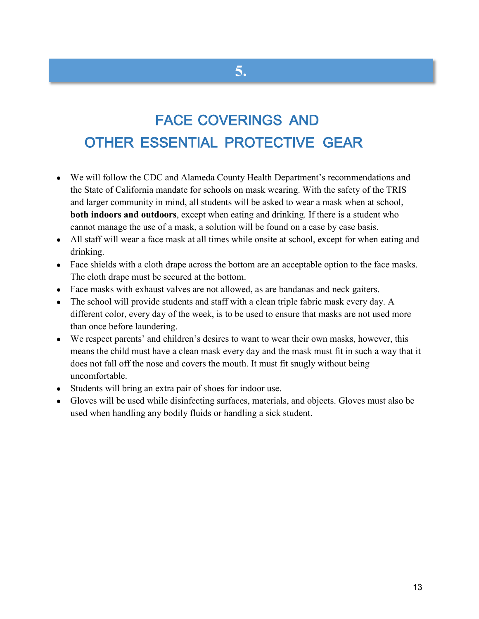## FACE COVERINGS AND OTHER ESSENTIAL PROTECTIVE GEAR

**5.**

- We will follow the CDC and Alameda County Health Department's recommendations and the State of California mandate for schools on mask wearing. With the safety of the TRIS and larger community in mind, all students will be asked to wear a mask when at school, **both indoors and outdoors**, except when eating and drinking. If there is a student who cannot manage the use of a mask, a solution will be found on a case by case basis.
- All staff will wear a face mask at all times while onsite at school, except for when eating and drinking.
- Face shields with a cloth drape across the bottom are an acceptable option to the face masks. The cloth drape must be secured at the bottom.
- Face masks with exhaust valves are not allowed, as are bandanas and neck gaiters.
- The school will provide students and staff with a clean triple fabric mask every day. A different color, every day of the week, is to be used to ensure that masks are not used more than once before laundering.
- We respect parents' and children's desires to want to wear their own masks, however, this means the child must have a clean mask every day and the mask must fit in such a way that it does not fall off the nose and covers the mouth. It must fit snugly without being uncomfortable.
- Students will bring an extra pair of shoes for indoor use.
- Gloves will be used while disinfecting surfaces, materials, and objects. Gloves must also be used when handling any bodily fluids or handling a sick student.

13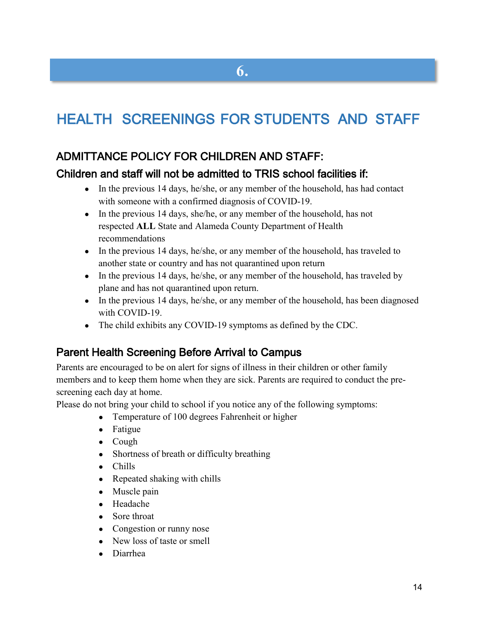## HEALTH SCREENINGS FOR STUDENTS AND STAFF

### ADMITTANCE POLICY FOR CHILDREN AND STAFF:

#### Children and staff will not be admitted to TRIS school facilities if:

- In the previous 14 days, he/she, or any member of the household, has had contact with someone with a confirmed diagnosis of COVID-19.
- In the previous 14 days, she/he, or any member of the household, has not respected **ALL** State and Alameda County Department of Health recommendations
- In the previous 14 days, he/she, or any member of the household, has traveled to another state or country and has not quarantined upon return
- In the previous 14 days, he/she, or any member of the household, has traveled by plane and has not quarantined upon return.
- In the previous 14 days, he/she, or any member of the household, has been diagnosed with COVID-19.
- The child exhibits any COVID-19 symptoms as defined by the CDC.

### Parent Health Screening Before Arrival to Campus

Parents are encouraged to be on alert for signs of illness in their children or other family members and to keep them home when they are sick. Parents are required to conduct the prescreening each day at home.

Please do not bring your child to school if you notice any of the following symptoms:

- Temperature of 100 degrees Fahrenheit or higher
- Fatigue
- Cough
- Shortness of breath or difficulty breathing
- Chills
- Repeated shaking with chills
- Muscle pain
- Headache
- Sore throat
- Congestion or runny nose
- New loss of taste or smell
- Diarrhea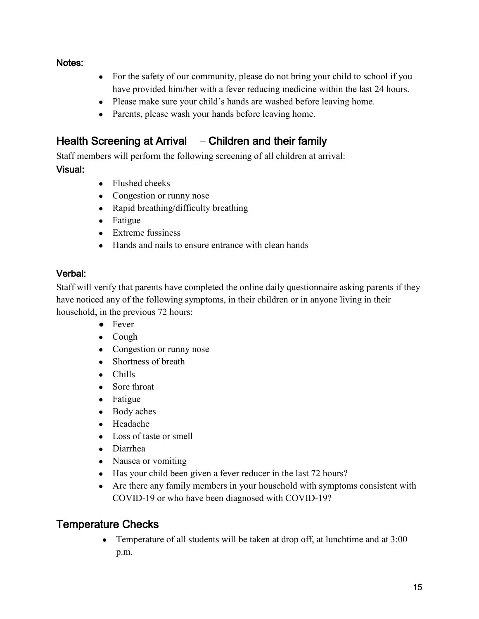#### Notes:

- For the safety of our community, please do not bring your child to school if you have provided him/her with a fever reducing medicine within the last 24 hours.
- Please make sure your child's hands are washed before leaving home.
- Parents, please wash your hands before leaving home.

### Health Screening at Arrival – Children and their family

Staff members will perform the following screening of all children at arrival:

#### Visual:

- Flushed cheeks
- Congestion or runny nose
- Rapid breathing/difficulty breathing
- Fatigue
- Extreme fussiness
- Hands and nails to ensure entrance with clean hands

#### Verbal:

Staff will verify that parents have completed the online daily questionnaire asking parents if they have noticed any of the following symptoms, in their children or in anyone living in their household, in the previous 72 hours:

- Fever
- Cough
- Congestion or runny nose
- Shortness of breath
- Chills
- Sore throat
- Fatigue
- Body aches
- Headache
- Loss of taste or smell
- Diarrhea
- Nausea or vomiting
- Has your child been given a fever reducer in the last 72 hours?
- Are there any family members in your household with symptoms consistent with COVID-19 or who have been diagnosed with COVID-19?

### Temperature Checks

• Temperature of all students will be taken at drop off, at lunchtime and at 3:00 p.m.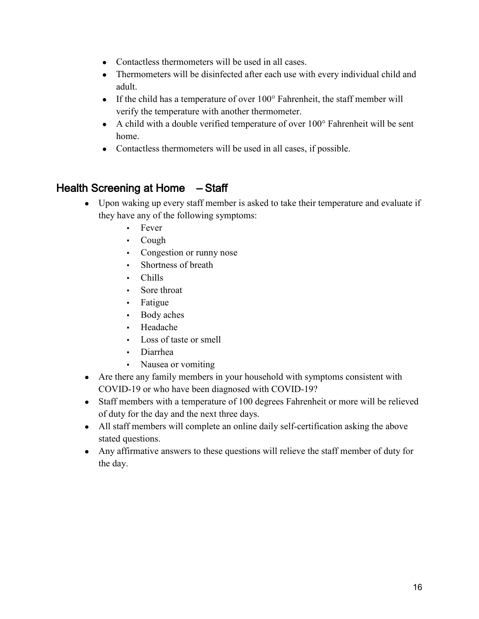- Contactless thermometers will be used in all cases.
- Thermometers will be disinfected after each use with every individual child and adult.
- If the child has a temperature of over  $100^\circ$  Fahrenheit, the staff member will verify the temperature with another thermometer.
- $\bullet$  A child with a double verified temperature of over 100 $\degree$  Fahrenheit will be sent home.
- Contactless thermometers will be used in all cases, if possible.

### Health Screening at Home – Staff

- Upon waking up every staff member is asked to take their temperature and evaluate if they have any of the following symptoms:
	- Fever
	- Cough
	- Congestion or runny nose
	- Shortness of breath
	- Chills
	- Sore throat
	- Fatigue
	- Body aches
	- **Headache**
	- Loss of taste or smell
	- Diarrhea
	- Nausea or vomiting
- Are there any family members in your household with symptoms consistent with COVID-19 or who have been diagnosed with COVID-19?
- Staff members with a temperature of 100 degrees Fahrenheit or more will be relieved of duty for the day and the next three days.
- All staff members will complete an online daily self-certification asking the above stated questions.
- Any affirmative answers to these questions will relieve the staff member of duty for the day.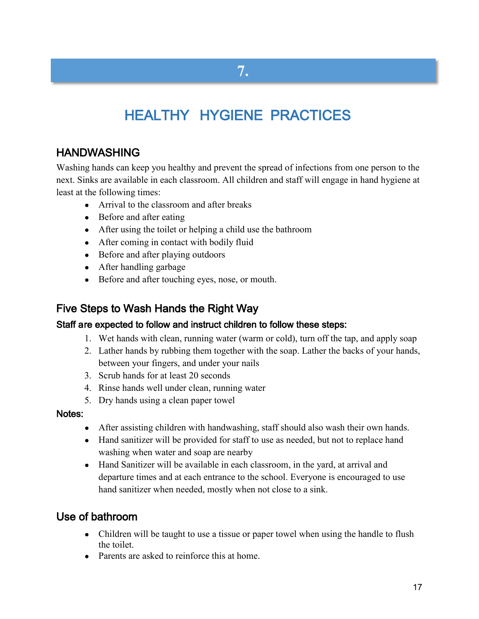## **7.**

## HEALTHY HYGIENE PRACTICES

### HANDWASHING

Washing hands can keep you healthy and prevent the spread of infections from one person to the next. Sinks are available in each classroom. All children and staff will engage in hand hygiene at least at the following times:

- Arrival to the classroom and after breaks
- Before and after eating
- After using the toilet or helping a child use the bathroom
- After coming in contact with bodily fluid
- Before and after playing outdoors
- After handling garbage
- Before and after touching eyes, nose, or mouth.

### Five Steps to Wash Hands the Right Way

#### Staff are expected to follow and instruct children to follow these steps:

- 1. Wet hands with clean, running water (warm or cold), turn off the tap, and apply soap
- 2. Lather hands by rubbing them together with the soap. Lather the backs of your hands, between your fingers, and under your nails
- 3. Scrub hands for at least 20 seconds
- 4. Rinse hands well under clean, running water
- 5. Dry hands using a clean paper towel

#### Notes:

- After assisting children with handwashing, staff should also wash their own hands.
- Hand sanitizer will be provided for staff to use as needed, but not to replace hand washing when water and soap are nearby
- Hand Sanitizer will be available in each classroom, in the yard, at arrival and departure times and at each entrance to the school. Everyone is encouraged to use hand sanitizer when needed, mostly when not close to a sink.

### Use of bathroom

- Children will be taught to use a tissue or paper towel when using the handle to flush the toilet.
- Parents are asked to reinforce this at home.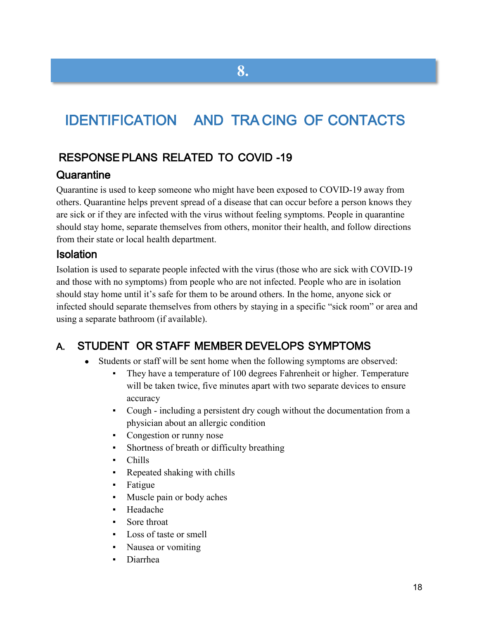## IDENTIFICATION AND TRA CING OF CONTACTS

**8.**

### RESPONSE PLANS RELATED TO COVID -19

#### **Quarantine**

Quarantine is used to keep someone who might have been exposed to COVID-19 away from others. Quarantine helps prevent spread of a disease that can occur before a person knows they are sick or if they are infected with the virus without feeling symptoms. People in quarantine should stay home, separate themselves from others, monitor their health, and follow directions from their state or local health department.

#### Isolation

Isolation is used to separate people infected with the virus (those who are sick with COVID-19 and those with no symptoms) from people who are not infected. People who are in isolation should stay home until it's safe for them to be around others. In the home, anyone sick or infected should separate themselves from others by staying in a specific "sick room" or area and using a separate bathroom (if available).

### A. STUDENT OR STAFF MEMBER DEVELOPS SYMPTOMS

- Students or staff will be sent home when the following symptoms are observed:
	- They have a temperature of 100 degrees Fahrenheit or higher. Temperature will be taken twice, five minutes apart with two separate devices to ensure accuracy
	- Cough including a persistent dry cough without the documentation from a physician about an allergic condition
	- Congestion or runny nose
	- Shortness of breath or difficulty breathing
	- Chills
	- Repeated shaking with chills
	- Fatigue
	- Muscle pain or body aches
	- Headache
	- Sore throat
	- Loss of taste or smell
	- Nausea or vomiting
	- **Diarrhea**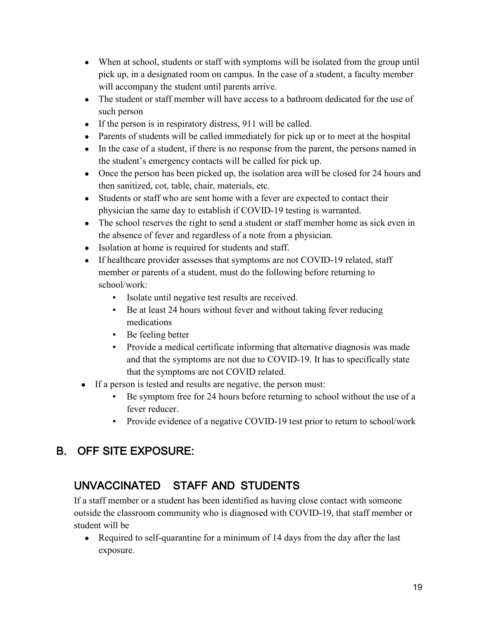- When at school, students or staff with symptoms will be isolated from the group until pick up, in a designated room on campus. In the case of a student, a faculty member will accompany the student until parents arrive.
- The student or staff member will have access to a bathroom dedicated for the use of such person
- If the person is in respiratory distress, 911 will be called.
- Parents of students will be called immediately for pick up or to meet at the hospital
- In the case of a student, if there is no response from the parent, the persons named in the student's emergency contacts will be called for pick up.
- Once the person has been picked up, the isolation area will be closed for 24 hours and then sanitized, cot, table, chair, materials, etc.
- Students or staff who are sent home with a fever are expected to contact their physician the same day to establish if COVID-19 testing is warranted.
- The school reserves the right to send a student or staff member home as sick even in the absence of fever and regardless of a note from a physician.
- Isolation at home is required for students and staff.
- If healthcare provider assesses that symptoms are not COVID-19 related, staff member or parents of a student, must do the following before returning to school/work:
	- Isolate until negative test results are received.
	- Be at least 24 hours without fever and without taking fever reducing medications
	- Be feeling better
	- Provide a medical certificate informing that alternative diagnosis was made and that the symptoms are not due to COVID-19. It has to specifically state that the symptoms are not COVID related.
- If a person is tested and results are negative, the person must:
	- Be symptom free for 24 hours before returning to school without the use of a fever reducer.
	- Provide evidence of a negative COVID-19 test prior to return to school/work

### B. OFF SITE EXPOSURE:

### UNVACCINATED STAFF AND STUDENTS

If a staff member or a student has been identified as having close contact with someone outside the classroom community who is diagnosed with COVID-19, that staff member or student will be

• Required to self-quarantine for a minimum of 14 days from the day after the last exposure.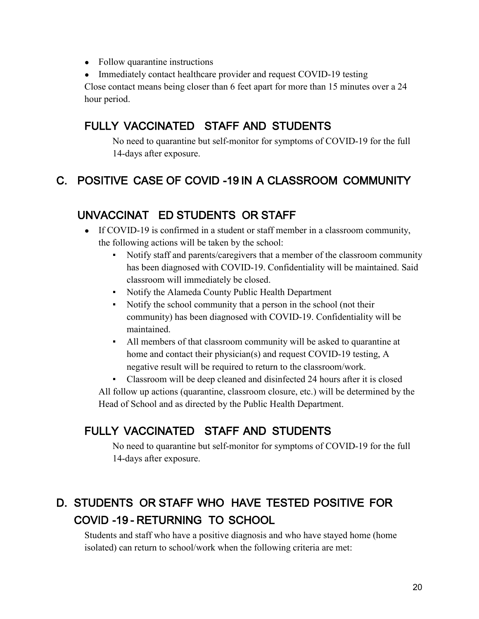- Follow quarantine instructions
- Immediately contact healthcare provider and request COVID-19 testing

Close contact means being closer than 6 feet apart for more than 15 minutes over a 24 hour period.

### FULLY VACCINATED STAFF AND STUDENTS

No need to quarantine but self-monitor for symptoms of COVID-19 for the full 14-days after exposure.

### C. POSITIVE CASE OF COVID -19 IN A CLASSROOM COMMUNITY

### UNVACCINAT ED STUDENTS OR STAFF

- If COVID-19 is confirmed in a student or staff member in a classroom community, the following actions will be taken by the school:
	- Notify staff and parents/caregivers that a member of the classroom community has been diagnosed with COVID-19. Confidentiality will be maintained. Said classroom will immediately be closed.
	- Notify the Alameda County Public Health Department
	- Notify the school community that a person in the school (not their community) has been diagnosed with COVID-19. Confidentiality will be maintained.
	- All members of that classroom community will be asked to quarantine at home and contact their physician(s) and request COVID-19 testing, A negative result will be required to return to the classroom/work.

Classroom will be deep cleaned and disinfected 24 hours after it is closed All follow up actions (quarantine, classroom closure, etc.) will be determined by the Head of School and as directed by the Public Health Department.

### FULLY VACCINATED STAFF AND STUDENTS

No need to quarantine but self-monitor for symptoms of COVID-19 for the full 14-days after exposure.

### D. STUDENTS OR STAFF WHO HAVE TESTED POSITIVE FOR COVID -19 - RETURNING TO SCHOOL

Students and staff who have a positive diagnosis and who have stayed home (home isolated) can return to school/work when the following criteria are met: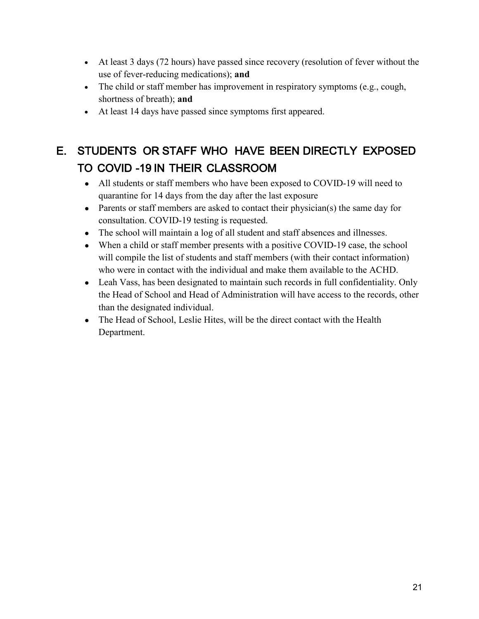- At least 3 days (72 hours) have passed since recovery (resolution of fever without the use of fever-reducing medications); **and**
- The child or staff member has improvement in respiratory symptoms (e.g., cough, shortness of breath); **and**
- At least 14 days have passed since symptoms first appeared.

### E. STUDENTS OR STAFF WHO HAVE BEEN DIRECTLY EXPOSED TO COVID -19 IN THEIR CLASSROOM

- All students or staff members who have been exposed to COVID-19 will need to quarantine for 14 days from the day after the last exposure
- Parents or staff members are asked to contact their physician(s) the same day for consultation. COVID-19 testing is requested.
- The school will maintain a log of all student and staff absences and illnesses.
- When a child or staff member presents with a positive COVID-19 case, the school will compile the list of students and staff members (with their contact information) who were in contact with the individual and make them available to the ACHD.
- Leah Vass, has been designated to maintain such records in full confidentiality. Only the Head of School and Head of Administration will have access to the records, other than the designated individual.
- The Head of School, Leslie Hites, will be the direct contact with the Health Department.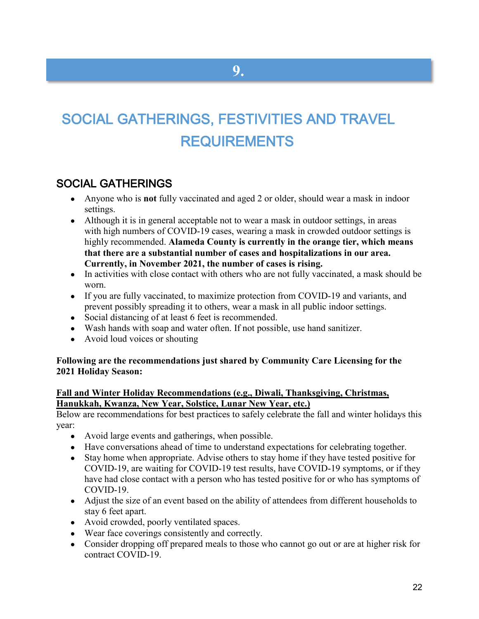## SOCIAL GATHERINGS, FESTIVITIES AND TRAVEL REQUIREMENTS

**9.**

### SOCIAL GATHERINGS

- Anyone who is **not** fully vaccinated and aged 2 or older, should wear a mask in indoor settings.
- Although it is in general acceptable not to wear a mask in outdoor settings, in areas with [high numbers of COVID-19 cases,](https://covid.cdc.gov/covid-data-tracker/#county-view) wearing a mask in crowded outdoor settings is highly recommended. **Alameda County is currently in the orange tier, which means that there are a substantial number of cases and hospitalizations in our area. Currently, in November 2021, the number of cases is rising.**
- In activities with [close contact](https://www.cdc.gov/coronavirus/2019-ncov/php/contact-tracing/contact-tracing-plan/appendix.html#contact) with others who are not fully vaccinated, a mask should be worn.
- If you are fully vaccinated, to maximize protection from COVID-19 and variants, and prevent possibly spreading it to others, wear a mask in all public indoor settings.
- Social distancing of at least 6 feet is recommended.
- Wash hands with soap and water often. If not possible, use hand sanitizer.
- Avoid loud voices or shouting

#### **Following are the recommendations just shared by Community Care Licensing for the 2021 Holiday Season:**

#### **Fall and Winter Holiday Recommendations (e.g., Diwali, Thanksgiving, Christmas, Hanukkah, Kwanza, New Year, Solstice, Lunar New Year, etc.)**

Below are recommendations for best practices to safely celebrate the fall and winter holidays this year:

- Avoid large events and gatherings, when possible.
- Have conversations ahead of time to understand expectations for celebrating together.
- Stay home when appropriate. Advise others to stay home if they have tested positive for COVID-19, are waiting for COVID-19 test results, have COVID-19 symptoms, or if they have had close contact with a person who has tested positive for or who has symptoms of COVID-19.
- Adjust the size of an event based on the ability of attendees from different households to stay 6 feet apart.
- Avoid crowded, poorly ventilated spaces.
- Wear face coverings consistently and correctly.
- Consider dropping off prepared meals to those who cannot go out or are at higher risk for contract COVID-19.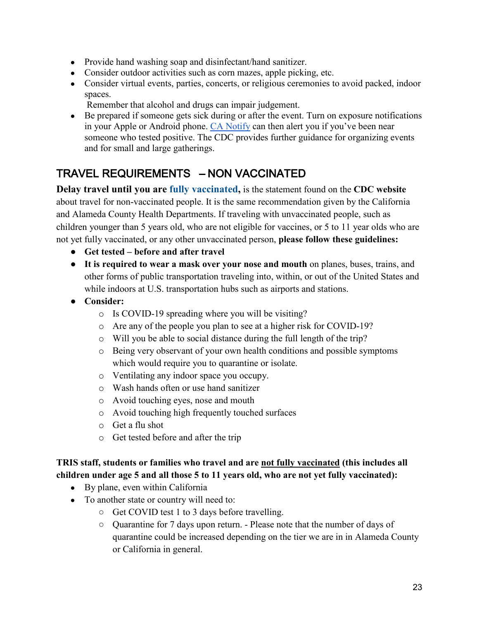- Provide hand washing soap and disinfectant/hand sanitizer.
- Consider outdoor activities such as corn mazes, apple picking, etc.
- Consider virtual events, parties, concerts, or religious ceremonies to avoid packed, indoor spaces.
	- Remember that alcohol and drugs can impair judgement.
- Be prepared if someone gets sick during or after the event. Turn on exposure notifications in your Apple or Android phone. [CA Notify](https://canotify.ca.gov/) can then alert you if you've been near someone who tested positive. The CDC provides further guidance for organizing events and for small and large gatherings.

### TRAVEL REQUIREMENTS – NON VACCINATED

**Delay travel until you are [fully vaccinated,](https://www.cdc.gov/coronavirus/2019-ncov/vaccines/fully-vaccinated.html)** is the statement found on the **CDC website** about travel for non-vaccinated people. It is the same recommendation given by the California and Alameda County Health Departments. If traveling with unvaccinated people, such as children younger than 5 years old, who are not eligible for vaccines, or 5 to 11 year olds who are not yet fully vaccinated, or any other unvaccinated person, **please follow these guidelines:**

- **Get tested – before and after travel**
- **It is required to wear a mask over your nose and mouth** on planes, buses, trains, and other forms of public transportation traveling into, within, or out of the United States and while indoors at U.S. transportation hubs such as airports and stations.
- **Consider:**
	- o Is COVID-19 spreading where you will be visiting?
	- o Are any of the people you plan to see at a higher risk for COVID-19?
	- o Will you be able to social distance during the full length of the trip?
	- o Being very observant of your own health conditions and possible symptoms which would require you to quarantine or isolate.
	- o Ventilating any indoor space you occupy.
	- o Wash hands often or use hand sanitizer
	- o Avoid touching eyes, nose and mouth
	- o Avoid touching high frequently touched surfaces
	- o Get a flu shot
	- o Get tested before and after the trip

#### **TRIS staff, students or families who travel and are not fully vaccinated (this includes all children under age 5 and all those 5 to 11 years old, who are not yet fully vaccinated):**

- By plane, even within California
- To another state or country will need to:
	- Get COVID test 1 to 3 days before travelling.
	- Quarantine for 7 days upon return. Please note that the number of days of quarantine could be increased depending on the tier we are in in Alameda County or California in general.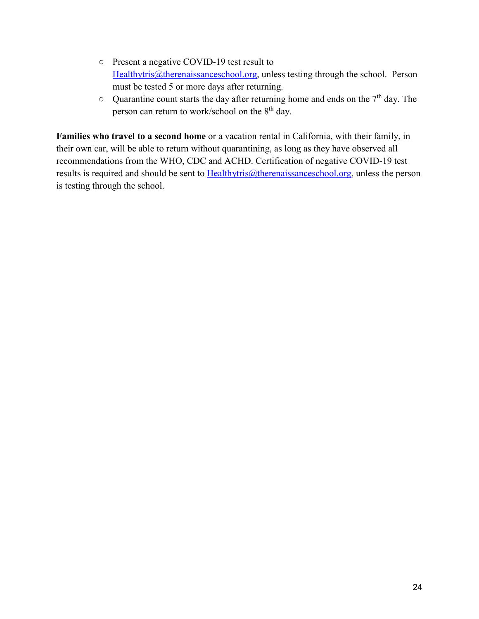- Present a negative COVID-19 test result to [Healthytris@therenaissanceschool.org,](mailto:Healthytris@therenaissanceschool.org) unless testing through the school. Person must be tested 5 or more days after returning.
- Quarantine count starts the day after returning home and ends on the 7<sup>th</sup> day. The person can return to work/school on the 8<sup>th</sup> day.

**Families who travel to a second home** or a vacation rental in California, with their family, in their own car, will be able to return without quarantining, as long as they have observed all recommendations from the WHO, CDC and ACHD. Certification of negative COVID-19 test results is required and should be sent to  $Hedthytris@therenaissanceschool.org, unless the person$ </u> is testing through the school.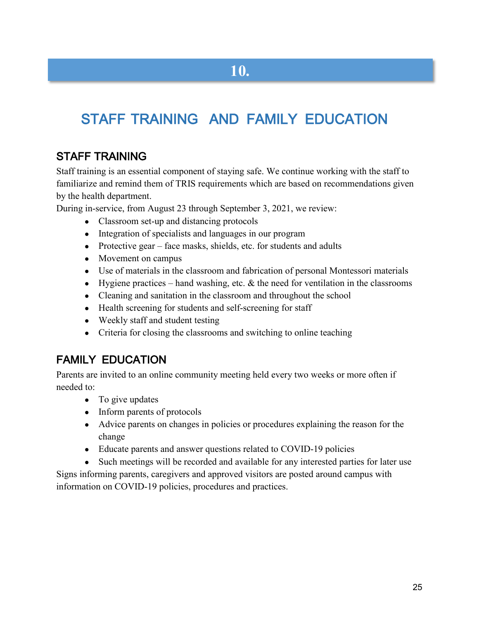## STAFF TRAINING AND FAMILY EDUCATION

### STAFF TRAINING

Staff training is an essential component of staying safe. We continue working with the staff to familiarize and remind them of TRIS requirements which are based on recommendations given by the health department.

During in-service, from August 23 through September 3, 2021, we review:

- Classroom set-up and distancing protocols
- Integration of specialists and languages in our program
- Protective gear face masks, shields, etc. for students and adults
- Movement on campus
- Use of materials in the classroom and fabrication of personal Montessori materials
- Hygiene practices hand washing, etc.  $&$  the need for ventilation in the classrooms
- Cleaning and sanitation in the classroom and throughout the school
- Health screening for students and self-screening for staff
- Weekly staff and student testing
- Criteria for closing the classrooms and switching to online teaching

### FAMILY EDUCATION

Parents are invited to an online community meeting held every two weeks or more often if needed to:

- To give updates
- Inform parents of protocols
- Advice parents on changes in policies or procedures explaining the reason for the change
- Educate parents and answer questions related to COVID-19 policies
- Such meetings will be recorded and available for any interested parties for later use

Signs informing parents, caregivers and approved visitors are posted around campus with information on COVID-19 policies, procedures and practices.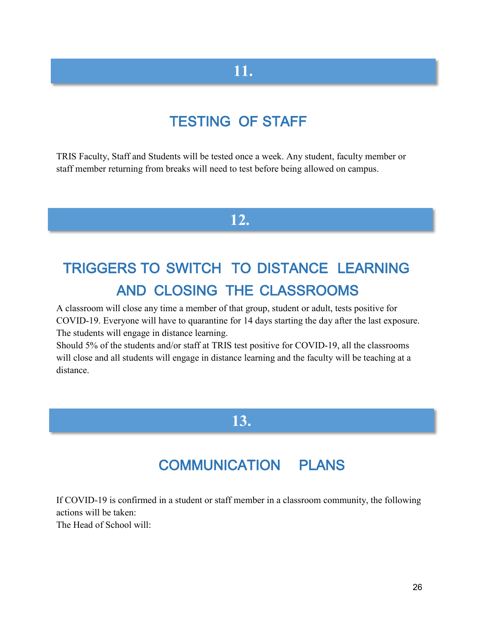### **11.**

### TESTING OF STAFF

TRIS Faculty, Staff and Students will be tested once a week. Any student, faculty member or staff member returning from breaks will need to test before being allowed on campus.

### **12.**

## TRIGGERS TO SWITCH TO DISTANCE LEARNING AND CLOSING THE CLASSROOMS

A classroom will close any time a member of that group, student or adult, tests positive for COVID-19. Everyone will have to quarantine for 14 days starting the day after the last exposure. The students will engage in distance learning.

Should 5% of the students and/or staff at TRIS test positive for COVID-19, all the classrooms will close and all students will engage in distance learning and the faculty will be teaching at a distance.

### **13.**

## COMMUNICATION PLANS

If COVID-19 is confirmed in a student or staff member in a classroom community, the following actions will be taken: The Head of School will: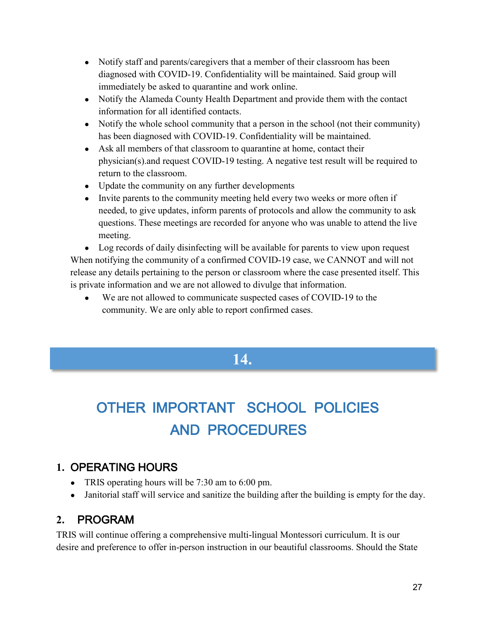- Notify staff and parents/caregivers that a member of their classroom has been diagnosed with COVID-19. Confidentiality will be maintained. Said group will immediately be asked to quarantine and work online.
- Notify the Alameda County Health Department and provide them with the contact information for all identified contacts.
- Notify the whole school community that a person in the school (not their community) has been diagnosed with COVID-19. Confidentiality will be maintained.
- Ask all members of that classroom to quarantine at home, contact their physician(s).and request COVID-19 testing. A negative test result will be required to return to the classroom.
- Update the community on any further developments
- Invite parents to the community meeting held every two weeks or more often if needed, to give updates, inform parents of protocols and allow the community to ask questions. These meetings are recorded for anyone who was unable to attend the live meeting.

• Log records of daily disinfecting will be available for parents to view upon request When notifying the community of a confirmed COVID-19 case, we CANNOT and will not release any details pertaining to the person or classroom where the case presented itself. This is private information and we are not allowed to divulge that information.

• We are not allowed to communicate suspected cases of COVID-19 to the community. We are only able to report confirmed cases.

### **14.**

## OTHER IMPORTANT SCHOOL POLICIES AND PROCEDURES

### **1.** OPERATING HOURS

- TRIS operating hours will be  $7:30$  am to  $6:00$  pm.
- Janitorial staff will service and sanitize the building after the building is empty for the day.

### **2.** PROGRAM

TRIS will continue offering a comprehensive multi-lingual Montessori curriculum. It is our desire and preference to offer in-person instruction in our beautiful classrooms. Should the State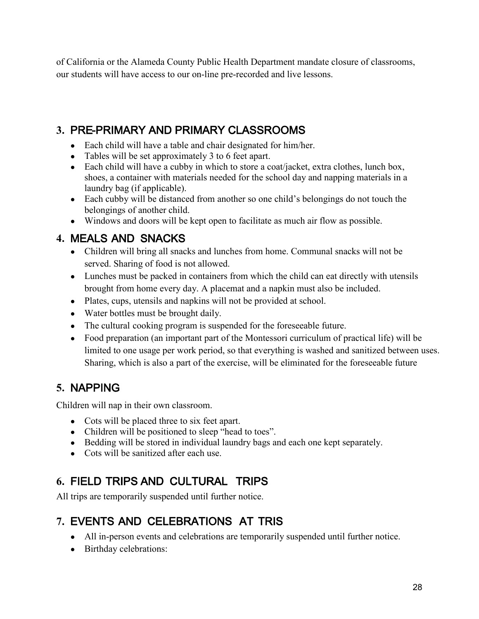of California or the Alameda County Public Health Department mandate closure of classrooms, our students will have access to our on-line pre-recorded and live lessons.

### **3.** PRE-PRIMARY AND PRIMARY CLASSROOMS

- Each child will have a table and chair designated for him/her.
- Tables will be set approximately 3 to 6 feet apart.
- Each child will have a cubby in which to store a coat/jacket, extra clothes, lunch box, shoes, a container with materials needed for the school day and napping materials in a laundry bag (if applicable).
- Each cubby will be distanced from another so one child's belongings do not touch the belongings of another child.
- Windows and doors will be kept open to facilitate as much air flow as possible.

### **4.** MEALS AND SNACKS

- Children will bring all snacks and lunches from home. Communal snacks will not be served. Sharing of food is not allowed.
- Lunches must be packed in containers from which the child can eat directly with utensils brought from home every day. A placemat and a napkin must also be included.
- Plates, cups, utensils and napkins will not be provided at school.
- Water bottles must be brought daily.
- The cultural cooking program is suspended for the foreseeable future.
- Food preparation (an important part of the Montessori curriculum of practical life) will be limited to one usage per work period, so that everything is washed and sanitized between uses. Sharing, which is also a part of the exercise, will be eliminated for the foreseeable future

### **5.** NAPPING

Children will nap in their own classroom.

- Cots will be placed three to six feet apart.
- Children will be positioned to sleep "head to toes".
- Bedding will be stored in individual laundry bags and each one kept separately.
- Cots will be sanitized after each use.

### **6.** FIELD TRIPS AND CULTURAL TRIPS

All trips are temporarily suspended until further notice.

### **7.** EVENTS AND CELEBRATIONS AT TRIS

- All in-person events and celebrations are temporarily suspended until further notice.
- Birthday celebrations: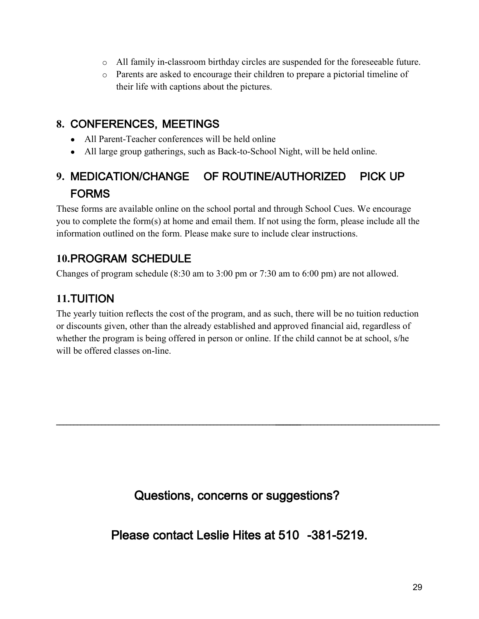- o All family in-classroom birthday circles are suspended for the foreseeable future.
- o Parents are asked to encourage their children to prepare a pictorial timeline of their life with captions about the pictures.

### **8.** CONFERENCES, MEETINGS

- All Parent-Teacher conferences will be held online
- All large group gatherings, such as Back-to-School Night, will be held online.

### **9.** MEDICATION/CHANGE OF ROUTINE/AUTHORIZED PICK UP FORMS

These forms are available online on the school portal and through School Cues. We encourage you to complete the form(s) at home and email them. If not using the form, please include all the information outlined on the form. Please make sure to include clear instructions.

### **10.**PROGRAM SCHEDULE

Changes of program schedule (8:30 am to 3:00 pm or 7:30 am to 6:00 pm) are not allowed.

### **11.**TUITION

The yearly tuition reflects the cost of the program, and as such, there will be no tuition reduction or discounts given, other than the already established and approved financial aid, regardless of whether the program is being offered in person or online. If the child cannot be at school, s/he will be offered classes on-line.

Questions, concerns or suggestions?

\_\_\_\_\_\_\_\_\_\_\_\_\_\_\_\_\_\_\_\_\_\_\_\_\_\_\_\_\_\_\_\_\_\_\_\_\_\_\_\_\_\_\_\_\_\_\_\_\_\_\_\_\_\_\_\_\_\_\_\_\_\_\_\_\_\_\_\_\_\_ \_\_\_\_\_\_\_\_\_\_\_\_\_\_\_\_\_\_\_\_\_\_\_\_\_\_\_\_\_\_\_\_\_\_\_\_\_\_\_\_\_\_\_\_\_\_\_

Please contact Leslie Hites at 510 -381-5219.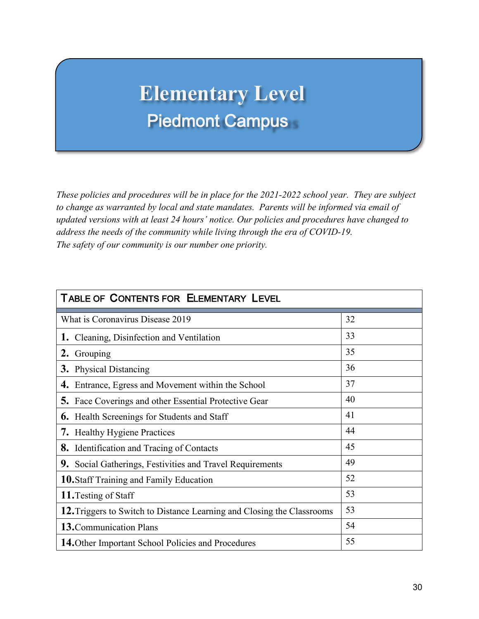## **Elementary Level** Piedmont Campus

*These policies and procedures will be in place for the 2021-2022 school year. They are subject to change as warranted by local and state mandates. Parents will be informed via email of updated versions with at least 24 hours' notice. Our policies and procedures have changed to address the needs of the community while living through the era of COVID-19. The safety of our community is our number one priority.*

| <b>TABLE OF CONTENTS FOR ELEMENTARY LEVEL</b>                          |    |  |
|------------------------------------------------------------------------|----|--|
| What is Coronavirus Disease 2019                                       | 32 |  |
| 1. Cleaning, Disinfection and Ventilation                              | 33 |  |
| 2. Grouping                                                            | 35 |  |
| <b>3.</b> Physical Distancing                                          | 36 |  |
| <b>4.</b> Entrance, Egress and Movement within the School              | 37 |  |
| <b>5.</b> Face Coverings and other Essential Protective Gear           | 40 |  |
| <b>6.</b> Health Screenings for Students and Staff                     | 41 |  |
| <b>7.</b> Healthy Hygiene Practices                                    | 44 |  |
| <b>8.</b> Identification and Tracing of Contacts                       | 45 |  |
| 9. Social Gatherings, Festivities and Travel Requirements              | 49 |  |
| 10. Staff Training and Family Education                                | 52 |  |
| 11. Testing of Staff                                                   | 53 |  |
| 12. Triggers to Switch to Distance Learning and Closing the Classrooms | 53 |  |
| <b>13.</b> Communication Plans                                         | 54 |  |
| 14. Other Important School Policies and Procedures                     | 55 |  |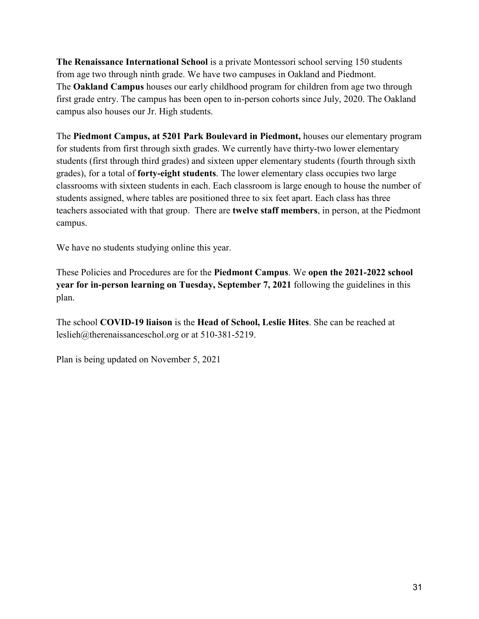**The Renaissance International School** is a private Montessori school serving 150 students from age two through ninth grade. We have two campuses in Oakland and Piedmont. The **Oakland Campus** houses our early childhood program for children from age two through first grade entry. The campus has been open to in-person cohorts since July, 2020. The Oakland campus also houses our Jr. High students.

The **Piedmont Campus, at 5201 Park Boulevard in Piedmont,** houses our elementary program for students from first through sixth grades. We currently have thirty-two lower elementary students (first through third grades) and sixteen upper elementary students (fourth through sixth grades), for a total of **forty-eight students**. The lower elementary class occupies two large classrooms with sixteen students in each. Each classroom is large enough to house the number of students assigned, where tables are positioned three to six feet apart. Each class has three teachers associated with that group. There are **twelve staff members**, in person, at the Piedmont campus.

We have no students studying online this year.

These Policies and Procedures are for the **Piedmont Campus**. We **open the 2021-2022 school year for in-person learning on Tuesday, September 7, 2021** following the guidelines in this plan.

The school **COVID-19 liaison** is the **Head of School, Leslie Hites**. She can be reached at [leslieh@therenaissanceschol.org](mailto:leslieh@therenaissanceschol.org) or at 510-381-5219.

Plan is being updated on November 5, 2021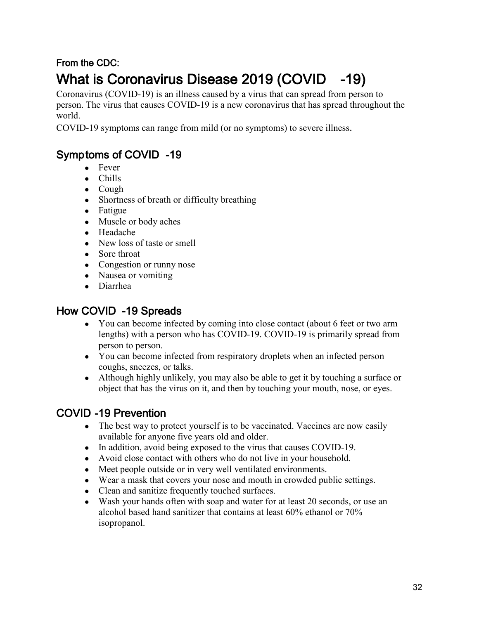## From the CDC: What is Coronavirus Disease 2019 (COVID -19)

Coronavirus (COVID-19) is an illness caused by a virus that can spread from person to person. The virus that causes COVID-19 is a new coronavirus that has spread throughout the world.

COVID-19 symptoms can range from mild (or no symptoms) to severe illness.

### Symptoms of COVID -19

- Fever
- Chills
- Cough
- Shortness of breath or difficulty breathing
- Fatigue
- Muscle or body aches
- Headache
- New loss of taste or smell
- Sore throat
- Congestion or runny nose
- Nausea or vomiting
- Diarrhea

### How COVID -19 Spreads

- You can become infected by coming into close contact (about 6 feet or two arm lengths) with a person who has COVID-19. COVID-19 is primarily spread from person to person.
- You can become infected from respiratory droplets when an infected person coughs, sneezes, or talks.
- Although highly unlikely, you may also be able to get it by touching a surface or object that has the virus on it, and then by touching your mouth, nose, or eyes.

### COVID -19 Prevention

- The best way to protect yourself is to be vaccinated. Vaccines are now easily available for anyone five years old and older.
- In addition, avoid being exposed to the virus that causes COVID-19.
- Avoid close contact with others who do not live in your household.
- Meet people outside or in very well ventilated environments.
- Wear a mask that covers your nose and mouth in crowded public settings.
- Clean and sanitize frequently touched surfaces.
- Wash your hands often with soap and water for at least 20 seconds, or use an alcohol based hand sanitizer that contains at least 60% ethanol or 70% isopropanol.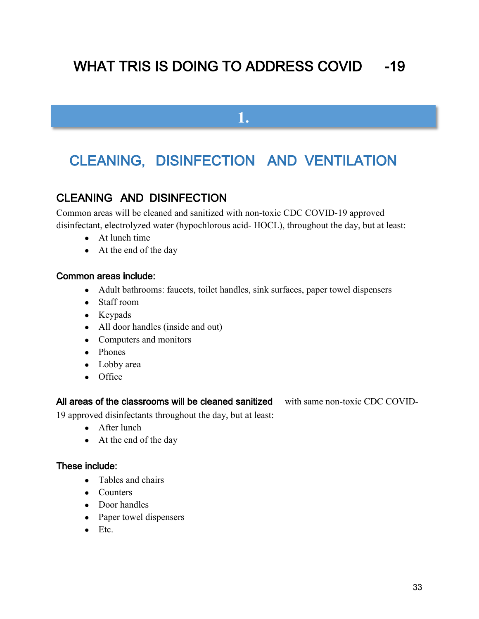## WHAT TRIS IS DOING TO ADDRESS COVID -19

**1.**

## CLEANING, DISINFECTION AND VENTILATION

### CLEANING AND DISINFECTION

Common areas will be cleaned and sanitized with non-toxic CDC COVID-19 approved disinfectant, electrolyzed water (hypochlorous acid- HOCL), throughout the day, but at least:

- At lunch time
- At the end of the day

#### Common areas include:

- Adult bathrooms: faucets, toilet handles, sink surfaces, paper towel dispensers
- Staff room
- Keypads
- All door handles (inside and out)
- Computers and monitors
- Phones
- Lobby area
- Office

#### All areas of the classrooms will be cleaned sanitized with same non-toxic CDC COVID-

19 approved disinfectants throughout the day, but at least:

- After lunch
- At the end of the day

#### These include:

- Tables and chairs
- Counters
- Door handles
- Paper towel dispensers
- Etc.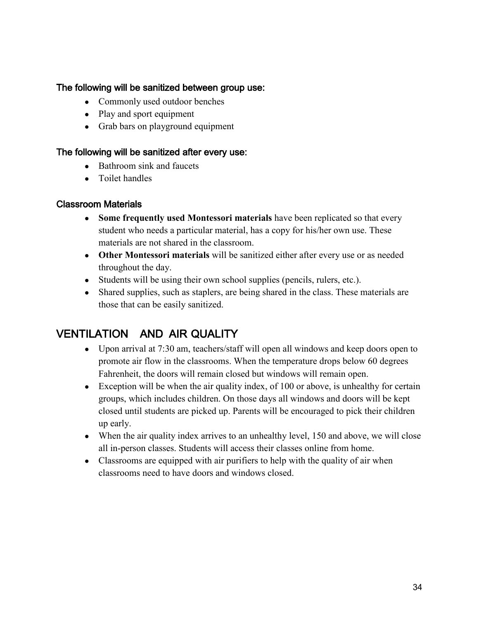#### The following will be sanitized between group use:

- Commonly used outdoor benches
- Play and sport equipment
- Grab bars on playground equipment

#### The following will be sanitized after every use:

- Bathroom sink and faucets
- Toilet handles

#### Classroom Materials

- Some frequently used Montessori materials have been replicated so that every student who needs a particular material, has a copy for his/her own use. These materials are not shared in the classroom.
- **Other Montessori materials** will be sanitized either after every use or as needed throughout the day.
- Students will be using their own school supplies (pencils, rulers, etc.).
- Shared supplies, such as staplers, are being shared in the class. These materials are those that can be easily sanitized.

### VENTILATION AND AIR QUALITY

- Upon arrival at 7:30 am, teachers/staff will open all windows and keep doors open to promote air flow in the classrooms. When the temperature drops below 60 degrees Fahrenheit, the doors will remain closed but windows will remain open.
- Exception will be when the air quality index, of 100 or above, is unhealthy for certain groups, which includes children. On those days all windows and doors will be kept closed until students are picked up. Parents will be encouraged to pick their children up early.
- When the air quality index arrives to an unhealthy level, 150 and above, we will close all in-person classes. Students will access their classes online from home.
- Classrooms are equipped with air purifiers to help with the quality of air when classrooms need to have doors and windows closed.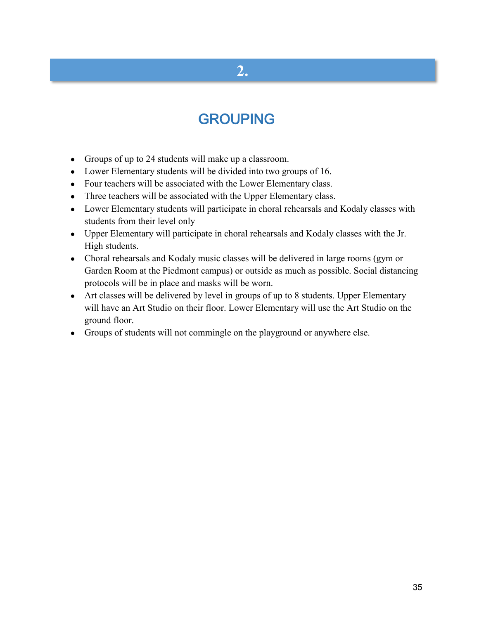## **2.**

## GROUPING

- Groups of up to 24 students will make up a classroom.
- Lower Elementary students will be divided into two groups of 16.
- Four teachers will be associated with the Lower Elementary class.
- Three teachers will be associated with the Upper Elementary class.
- Lower Elementary students will participate in choral rehearsals and Kodaly classes with students from their level only
- Upper Elementary will participate in choral rehearsals and Kodaly classes with the Jr. High students.
- Choral rehearsals and Kodaly music classes will be delivered in large rooms (gym or Garden Room at the Piedmont campus) or outside as much as possible. Social distancing protocols will be in place and masks will be worn.
- Art classes will be delivered by level in groups of up to 8 students. Upper Elementary will have an Art Studio on their floor. Lower Elementary will use the Art Studio on the ground floor.
- Groups of students will not commingle on the playground or anywhere else.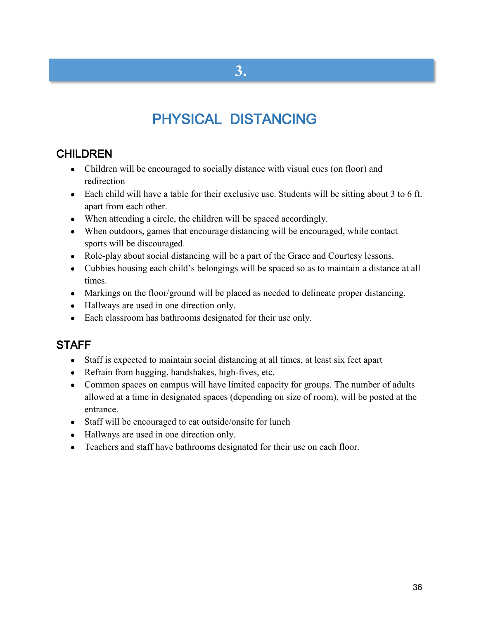## PHYSICAL DISTANCING

### **CHILDREN**

- Children will be encouraged to socially distance with visual cues (on floor) and redirection
- Each child will have a table for their exclusive use. Students will be sitting about 3 to 6 ft. apart from each other.
- When attending a circle, the children will be spaced accordingly.
- When outdoors, games that encourage distancing will be encouraged, while contact sports will be discouraged.
- Role-play about social distancing will be a part of the Grace and Courtesy lessons.
- Cubbies housing each child's belongings will be spaced so as to maintain a distance at all times.
- Markings on the floor/ground will be placed as needed to delineate proper distancing.
- Hallways are used in one direction only.
- Each classroom has bathrooms designated for their use only.

### **STAFF**

- Staff is expected to maintain social distancing at all times, at least six feet apart
- Refrain from hugging, handshakes, high-fives, etc.
- Common spaces on campus will have limited capacity for groups. The number of adults allowed at a time in designated spaces (depending on size of room), will be posted at the entrance.
- Staff will be encouraged to eat outside/onsite for lunch
- Hallways are used in one direction only.
- Teachers and staff have bathrooms designated for their use on each floor.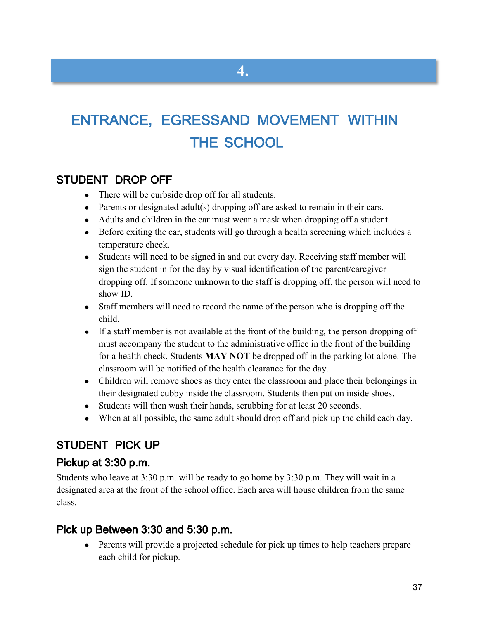# ENTRANCE, EGRESSAND MOVEMENT WITHIN THE SCHOOL

### STUDENT DROP OFF

- There will be curbside drop off for all students.
- Parents or designated adult(s) dropping off are asked to remain in their cars.
- Adults and children in the car must wear a mask when dropping off a student.
- Before exiting the car, students will go through a health screening which includes a temperature check.
- Students will need to be signed in and out every day. Receiving staff member will sign the student in for the day by visual identification of the parent/caregiver dropping off. If someone unknown to the staff is dropping off, the person will need to show ID.
- Staff members will need to record the name of the person who is dropping off the child.
- If a staff member is not available at the front of the building, the person dropping off must accompany the student to the administrative office in the front of the building for a health check. Students **MAY NOT** be dropped off in the parking lot alone. The classroom will be notified of the health clearance for the day.
- Children will remove shoes as they enter the classroom and place their belongings in their designated cubby inside the classroom. Students then put on inside shoes.
- Students will then wash their hands, scrubbing for at least 20 seconds.
- When at all possible, the same adult should drop off and pick up the child each day.

### STUDENT PICK UP

### Pickup at 3:30 p.m.

Students who leave at 3:30 p.m. will be ready to go home by 3:30 p.m. They will wait in a designated area at the front of the school office. Each area will house children from the same class.

### Pick up Between 3:30 and 5:30 p.m.

• Parents will provide a projected schedule for pick up times to help teachers prepare each child for pickup.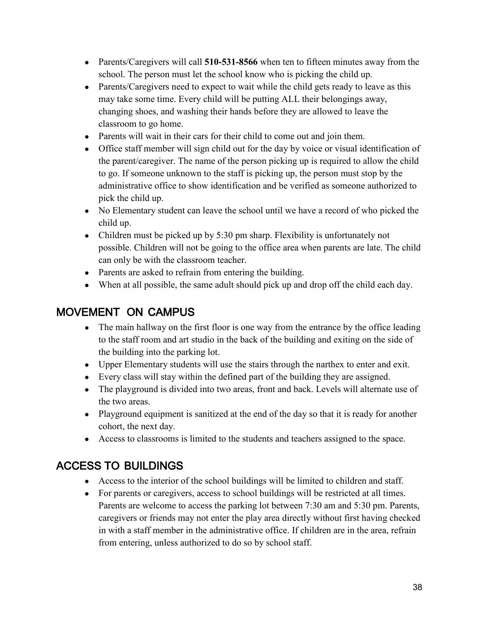- Parents/Caregivers will call **510-531-8566** when ten to fifteen minutes away from the school. The person must let the school know who is picking the child up.
- Parents/Caregivers need to expect to wait while the child gets ready to leave as this may take some time. Every child will be putting ALL their belongings away, changing shoes, and washing their hands before they are allowed to leave the classroom to go home.
- Parents will wait in their cars for their child to come out and join them.
- Office staff member will sign child out for the day by voice or visual identification of the parent/caregiver. The name of the person picking up is required to allow the child to go. If someone unknown to the staff is picking up, the person must stop by the administrative office to show identification and be verified as someone authorized to pick the child up.
- No Elementary student can leave the school until we have a record of who picked the child up.
- Children must be picked up by 5:30 pm sharp. Flexibility is unfortunately not possible. Children will not be going to the office area when parents are late. The child can only be with the classroom teacher.
- Parents are asked to refrain from entering the building.
- When at all possible, the same adult should pick up and drop off the child each day.

## MOVEMENT ON CAMPUS

- The main hallway on the first floor is one way from the entrance by the office leading to the staff room and art studio in the back of the building and exiting on the side of the building into the parking lot.
- Upper Elementary students will use the stairs through the narthex to enter and exit.
- Every class will stay within the defined part of the building they are assigned.
- The playground is divided into two areas, front and back. Levels will alternate use of the two areas.
- Playground equipment is sanitized at the end of the day so that it is ready for another cohort, the next day.
- Access to classrooms is limited to the students and teachers assigned to the space.

## ACCESS TO BUILDINGS

- Access to the interior of the school buildings will be limited to children and staff.
- For parents or caregivers, access to school buildings will be restricted at all times. Parents are welcome to access the parking lot between 7:30 am and 5:30 pm. Parents, caregivers or friends may not enter the play area directly without first having checked in with a staff member in the administrative office. If children are in the area, refrain from entering, unless authorized to do so by school staff.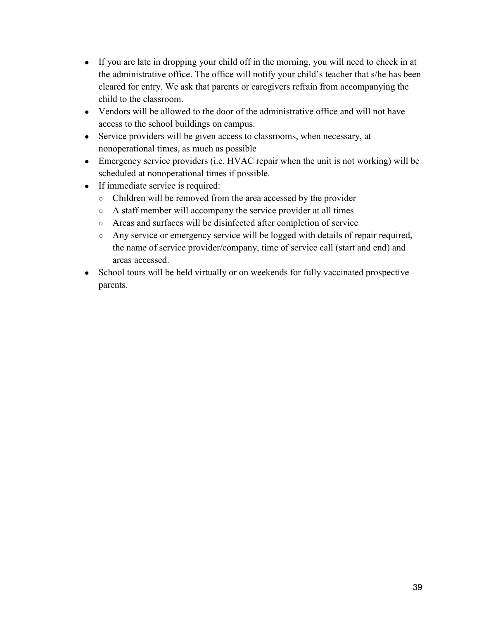- If you are late in dropping your child off in the morning, you will need to check in at the administrative office. The office will notify your child's teacher that s/he has been cleared for entry. We ask that parents or caregivers refrain from accompanying the child to the classroom.
- Vendors will be allowed to the door of the administrative office and will not have access to the school buildings on campus.
- Service providers will be given access to classrooms, when necessary, at nonoperational times, as much as possible
- Emergency service providers (i.e. HVAC repair when the unit is not working) will be scheduled at nonoperational times if possible.
- If immediate service is required:
	- Children will be removed from the area accessed by the provider
	- A staff member will accompany the service provider at all times
	- Areas and surfaces will be disinfected after completion of service
	- Any service or emergency service will be logged with details of repair required, the name of service provider/company, time of service call (start and end) and areas accessed.
- School tours will be held virtually or on weekends for fully vaccinated prospective parents.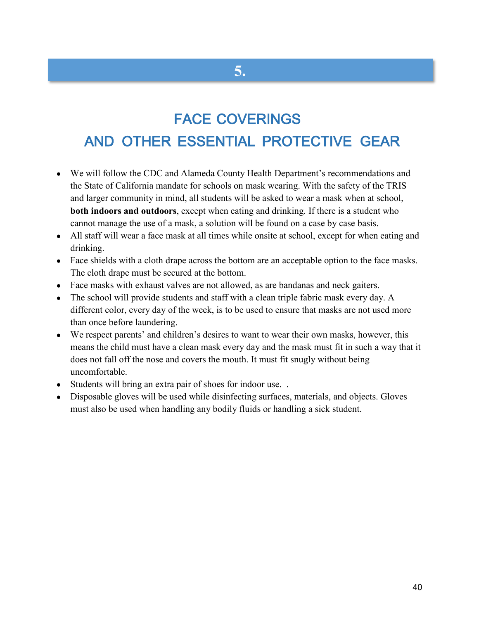# FACE COVERINGS

**5.**

# AND OTHER ESSENTIAL PROTECTIVE GEAR

- We will follow the CDC and Alameda County Health Department's recommendations and the State of California mandate for schools on mask wearing. With the safety of the TRIS and larger community in mind, all students will be asked to wear a mask when at school, **both indoors and outdoors**, except when eating and drinking. If there is a student who cannot manage the use of a mask, a solution will be found on a case by case basis.
- All staff will wear a face mask at all times while onsite at school, except for when eating and drinking.
- Face shields with a cloth drape across the bottom are an acceptable option to the face masks. The cloth drape must be secured at the bottom.
- Face masks with exhaust valves are not allowed, as are bandanas and neck gaiters.
- The school will provide students and staff with a clean triple fabric mask every day. A different color, every day of the week, is to be used to ensure that masks are not used more than once before laundering.
- We respect parents' and children's desires to want to wear their own masks, however, this means the child must have a clean mask every day and the mask must fit in such a way that it does not fall off the nose and covers the mouth. It must fit snugly without being uncomfortable.
- Students will bring an extra pair of shoes for indoor use...
- Disposable gloves will be used while disinfecting surfaces, materials, and objects. Gloves must also be used when handling any bodily fluids or handling a sick student.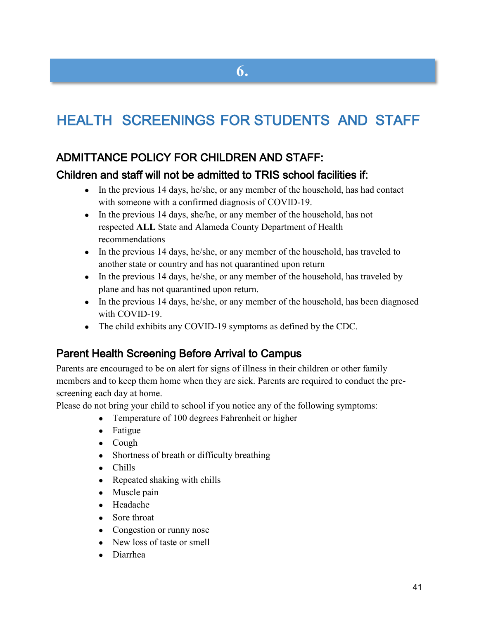# HEALTH SCREENINGS FOR STUDENTS AND STAFF

### ADMITTANCE POLICY FOR CHILDREN AND STAFF:

#### Children and staff will not be admitted to TRIS school facilities if:

- $\bullet$  In the previous 14 days, he/she, or any member of the household, has had contact with someone with a confirmed diagnosis of COVID-19.
- In the previous 14 days, she/he, or any member of the household, has not respected **ALL** State and Alameda County Department of Health recommendations
- In the previous 14 days, he/she, or any member of the household, has traveled to another state or country and has not quarantined upon return
- In the previous 14 days, he/she, or any member of the household, has traveled by plane and has not quarantined upon return.
- In the previous 14 days, he/she, or any member of the household, has been diagnosed with COVID-19.
- The child exhibits any COVID-19 symptoms as defined by the CDC.

### Parent Health Screening Before Arrival to Campus

Parents are encouraged to be on alert for signs of illness in their children or other family members and to keep them home when they are sick. Parents are required to conduct the prescreening each day at home.

Please do not bring your child to school if you notice any of the following symptoms:

- Temperature of 100 degrees Fahrenheit or higher
- Fatigue
- Cough
- Shortness of breath or difficulty breathing
- Chills
- Repeated shaking with chills
- Muscle pain
- Headache
- Sore throat
- Congestion or runny nose
- New loss of taste or smell
- **Diarrhea**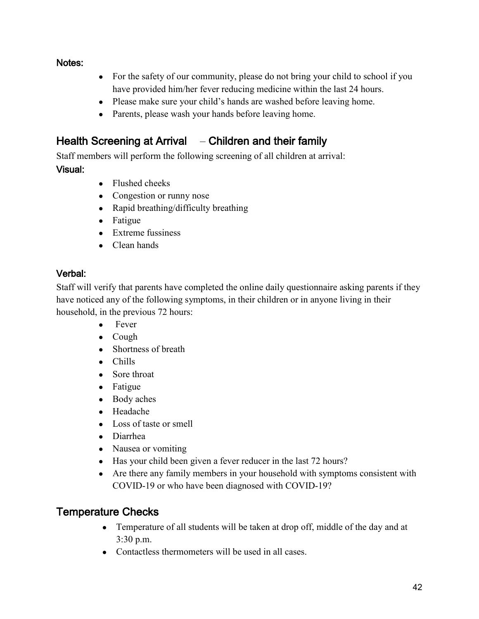#### Notes:

- For the safety of our community, please do not bring your child to school if you have provided him/her fever reducing medicine within the last 24 hours.
- Please make sure your child's hands are washed before leaving home.
- Parents, please wash your hands before leaving home.

### Health Screening at Arrival – Children and their family

Staff members will perform the following screening of all children at arrival:

#### Visual:

- Flushed cheeks
- Congestion or runny nose
- Rapid breathing/difficulty breathing
- Fatigue
- Extreme fussiness
- Clean hands

#### Verbal:

Staff will verify that parents have completed the online daily questionnaire asking parents if they have noticed any of the following symptoms, in their children or in anyone living in their household, in the previous 72 hours:

- Fever
- Cough
- Shortness of breath
- Chills
- Sore throat
- Fatigue
- Body aches
- Headache
- Loss of taste or smell
- Diarrhea
- Nausea or vomiting
- Has your child been given a fever reducer in the last 72 hours?
- Are there any family members in your household with symptoms consistent with COVID-19 or who have been diagnosed with COVID-19?

## Temperature Checks

- Temperature of all students will be taken at drop off, middle of the day and at 3:30 p.m.
- Contactless thermometers will be used in all cases.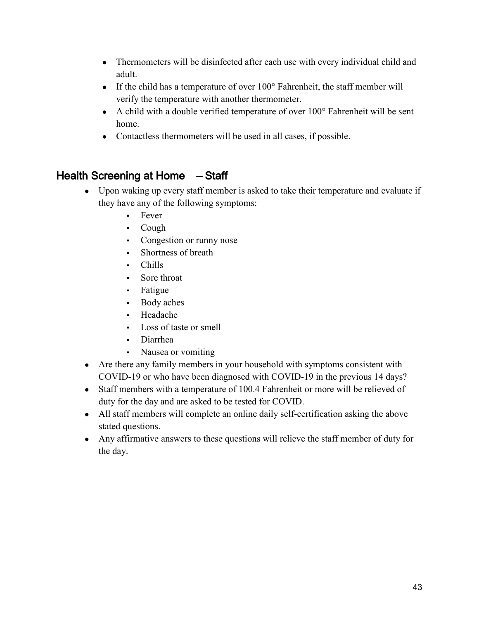- Thermometers will be disinfected after each use with every individual child and adult.
- If the child has a temperature of over  $100^{\circ}$  Fahrenheit, the staff member will verify the temperature with another thermometer.
- A child with a double verified temperature of over 100° Fahrenheit will be sent home.
- Contactless thermometers will be used in all cases, if possible.

## Health Screening at Home – Staff

- Upon waking up every staff member is asked to take their temperature and evaluate if they have any of the following symptoms:
	- Fever
	- Cough
	- Congestion or runny nose
	- Shortness of breath
	- Chills
	- Sore throat
	- Fatigue
	- Body aches
	- Headache
	- Loss of taste or smell
	- **Diarrhea**
	- Nausea or vomiting
- Are there any family members in your household with symptoms consistent with COVID-19 or who have been diagnosed with COVID-19 in the previous 14 days?
- Staff members with a temperature of 100.4 Fahrenheit or more will be relieved of duty for the day and are asked to be tested for COVID.
- All staff members will complete an online daily self-certification asking the above stated questions.
- Any affirmative answers to these questions will relieve the staff member of duty for the day.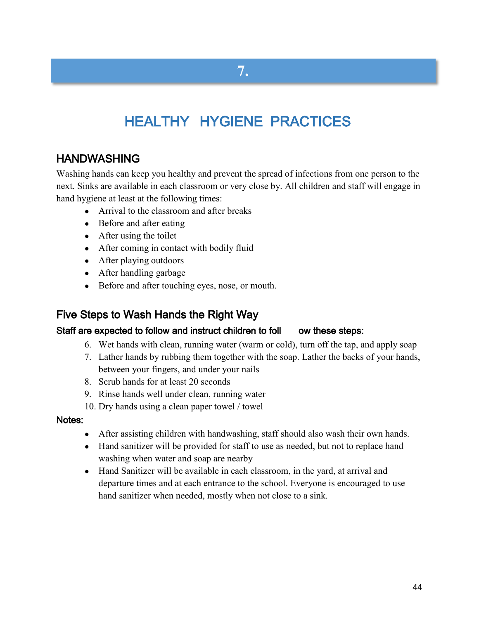# **7.**

# HEALTHY HYGIENE PRACTICES

## HANDWASHING

Washing hands can keep you healthy and prevent the spread of infections from one person to the next. Sinks are available in each classroom or very close by. All children and staff will engage in hand hygiene at least at the following times:

- Arrival to the classroom and after breaks
- Before and after eating
- After using the toilet
- After coming in contact with bodily fluid
- After playing outdoors
- After handling garbage
- Before and after touching eyes, nose, or mouth.

#### Five Steps to Wash Hands the Right Way

#### Staff are expected to follow and instruct children to foll ow these steps:

- 6. Wet hands with clean, running water (warm or cold), turn off the tap, and apply soap
- 7. Lather hands by rubbing them together with the soap. Lather the backs of your hands, between your fingers, and under your nails
- 8. Scrub hands for at least 20 seconds
- 9. Rinse hands well under clean, running water
- 10. Dry hands using a clean paper towel / towel

#### Notes:

- After assisting children with handwashing, staff should also wash their own hands.
- Hand sanitizer will be provided for staff to use as needed, but not to replace hand washing when water and soap are nearby
- Hand Sanitizer will be available in each classroom, in the yard, at arrival and departure times and at each entrance to the school. Everyone is encouraged to use hand sanitizer when needed, mostly when not close to a sink.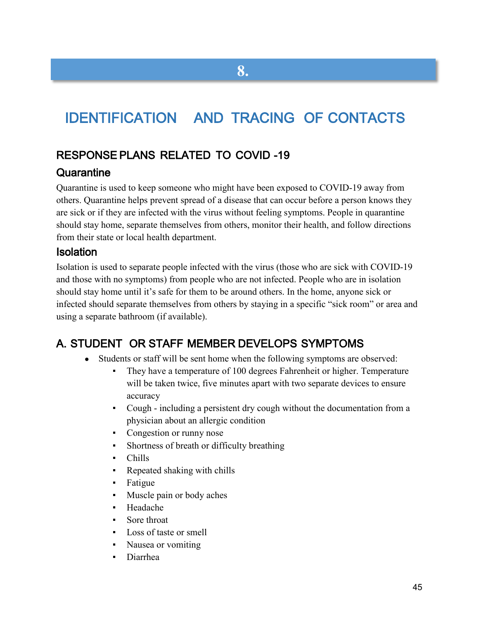# IDENTIFICATION AND TRACING OF CONTACTS

**8.**

### RESPONSE PLANS RELATED TO COVID -19

#### **Quarantine**

Quarantine is used to keep someone who might have been exposed to COVID-19 away from others. Quarantine helps prevent spread of a disease that can occur before a person knows they are sick or if they are infected with the virus without feeling symptoms. People in quarantine should stay home, separate themselves from others, monitor their health, and follow directions from their state or local health department.

### Isolation

Isolation is used to separate people infected with the virus (those who are sick with COVID-19 and those with no symptoms) from people who are not infected. People who are in isolation should stay home until it's safe for them to be around others. In the home, anyone sick or infected should separate themselves from others by staying in a specific "sick room" or area and using a separate bathroom (if available).

## A. STUDENT OR STAFF MEMBER DEVELOPS SYMPTOMS

- Students or staff will be sent home when the following symptoms are observed:
	- They have a temperature of 100 degrees Fahrenheit or higher. Temperature will be taken twice, five minutes apart with two separate devices to ensure accuracy
	- Cough including a persistent dry cough without the documentation from a physician about an allergic condition
	- Congestion or runny nose
	- Shortness of breath or difficulty breathing
	- Chills
	- Repeated shaking with chills
	- **Fatigue**
	- Muscle pain or body aches
	- **Headache**
	- Sore throat
	- Loss of taste or smell
	- Nausea or vomiting
	- Diarrhea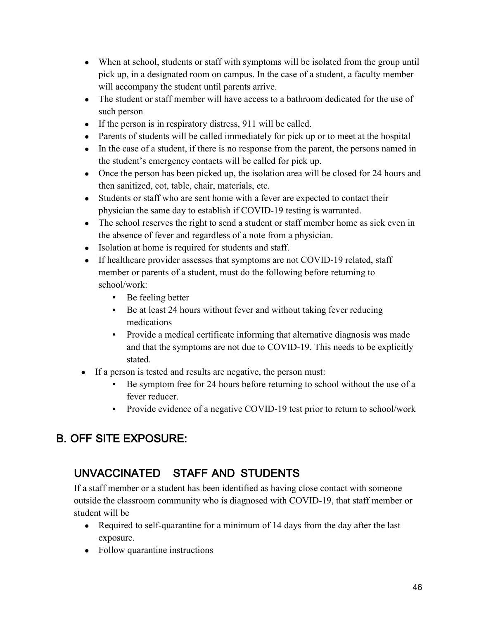- When at school, students or staff with symptoms will be isolated from the group until pick up, in a designated room on campus. In the case of a student, a faculty member will accompany the student until parents arrive.
- The student or staff member will have access to a bathroom dedicated for the use of such person
- If the person is in respiratory distress, 911 will be called.
- Parents of students will be called immediately for pick up or to meet at the hospital
- In the case of a student, if there is no response from the parent, the persons named in the student's emergency contacts will be called for pick up.
- Once the person has been picked up, the isolation area will be closed for 24 hours and then sanitized, cot, table, chair, materials, etc.
- Students or staff who are sent home with a fever are expected to contact their physician the same day to establish if COVID-19 testing is warranted.
- The school reserves the right to send a student or staff member home as sick even in the absence of fever and regardless of a note from a physician.
- Isolation at home is required for students and staff.
- If healthcare provider assesses that symptoms are not COVID-19 related, staff member or parents of a student, must do the following before returning to school/work:
	- Be feeling better
	- Be at least 24 hours without fever and without taking fever reducing medications
	- **•** Provide a medical certificate informing that alternative diagnosis was made and that the symptoms are not due to COVID-19. This needs to be explicitly stated.
- If a person is tested and results are negative, the person must:
	- Be symptom free for 24 hours before returning to school without the use of a fever reducer.
	- Provide evidence of a negative COVID-19 test prior to return to school/work

## B. OFF SITE EXPOSURE:

## UNVACCINATED STAFF AND STUDENTS

If a staff member or a student has been identified as having close contact with someone outside the classroom community who is diagnosed with COVID-19, that staff member or student will be

- Required to self-quarantine for a minimum of 14 days from the day after the last exposure.
- Follow quarantine instructions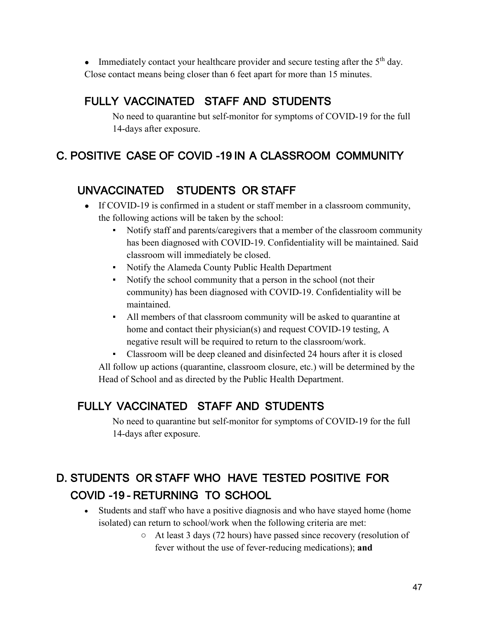• Immediately contact your healthcare provider and secure testing after the  $5<sup>th</sup>$  day. Close contact means being closer than 6 feet apart for more than 15 minutes.

# FULLY VACCINATED STAFF AND STUDENTS

No need to quarantine but self-monitor for symptoms of COVID-19 for the full 14-days after exposure.

# C. POSITIVE CASE OF COVID -19 IN A CLASSROOM COMMUNITY

# UNVACCINATED STUDENTS OR STAFF

- If COVID-19 is confirmed in a student or staff member in a classroom community, the following actions will be taken by the school:
	- Notify staff and parents/caregivers that a member of the classroom community has been diagnosed with COVID-19. Confidentiality will be maintained. Said classroom will immediately be closed.
	- Notify the Alameda County Public Health Department
	- Notify the school community that a person in the school (not their community) has been diagnosed with COVID-19. Confidentiality will be maintained.
	- All members of that classroom community will be asked to quarantine at home and contact their physician(s) and request COVID-19 testing, A negative result will be required to return to the classroom/work.
	- Classroom will be deep cleaned and disinfected 24 hours after it is closed

All follow up actions (quarantine, classroom closure, etc.) will be determined by the Head of School and as directed by the Public Health Department.

# FULLY VACCINATED STAFF AND STUDENTS

No need to quarantine but self-monitor for symptoms of COVID-19 for the full 14-days after exposure.

# D. STUDENTS OR STAFF WHO HAVE TESTED POSITIVE FOR COVID -19 - RETURNING TO SCHOOL

- Students and staff who have a positive diagnosis and who have stayed home (home isolated) can return to school/work when the following criteria are met:
	- At least 3 days (72 hours) have passed since recovery (resolution of fever without the use of fever-reducing medications); **and**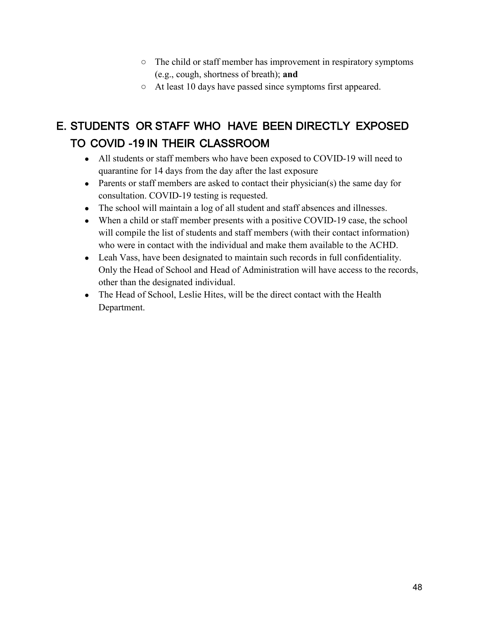- The child or staff member has improvement in respiratory symptoms (e.g., cough, shortness of breath); **and**
- At least 10 days have passed since symptoms first appeared.

# E. STUDENTS OR STAFF WHO HAVE BEEN DIRECTLY EXPOSED TO COVID -19 IN THEIR CLASSROOM

- All students or staff members who have been exposed to COVID-19 will need to quarantine for 14 days from the day after the last exposure
- Parents or staff members are asked to contact their physician(s) the same day for consultation. COVID-19 testing is requested.
- The school will maintain a log of all student and staff absences and illnesses.
- When a child or staff member presents with a positive COVID-19 case, the school will compile the list of students and staff members (with their contact information) who were in contact with the individual and make them available to the ACHD.
- Leah Vass, have been designated to maintain such records in full confidentiality. Only the Head of School and Head of Administration will have access to the records, other than the designated individual.
- The Head of School, Leslie Hites, will be the direct contact with the Health Department.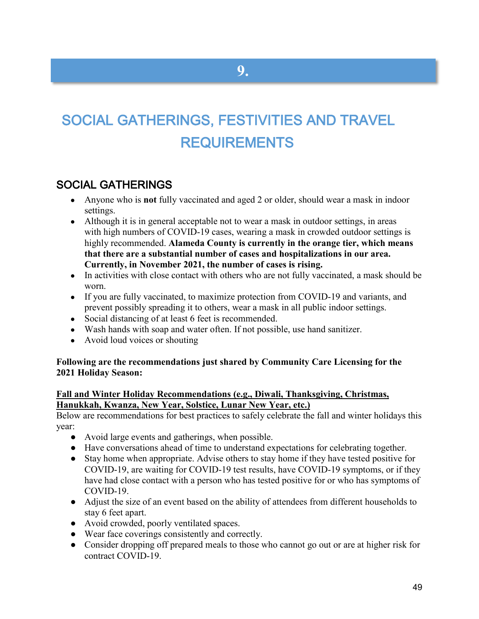# SOCIAL GATHERINGS, FESTIVITIES AND TRAVEL REQUIREMENTS

### SOCIAL GATHERINGS

- Anyone who is **not** fully vaccinated and aged 2 or older, should wear a mask in indoor settings.
- Although it is in general acceptable not to wear a mask in outdoor settings, in areas with [high numbers of COVID-19 cases,](https://covid.cdc.gov/covid-data-tracker/#county-view) wearing a mask in crowded outdoor settings is highly recommended. **Alameda County is currently in the orange tier, which means that there are a substantial number of cases and hospitalizations in our area. Currently, in November 2021, the number of cases is rising.**
- In activities with [close contact](https://www.cdc.gov/coronavirus/2019-ncov/php/contact-tracing/contact-tracing-plan/appendix.html#contact) with others who are not fully vaccinated, a mask should be worn.
- If you are fully vaccinated, to maximize protection from COVID-19 and variants, and prevent possibly spreading it to others, wear a mask in all public indoor settings.
- Social distancing of at least 6 feet is recommended.
- Wash hands with soap and water often. If not possible, use hand sanitizer.
- Avoid loud voices or shouting

#### **Following are the recommendations just shared by Community Care Licensing for the 2021 Holiday Season:**

#### **Fall and Winter Holiday Recommendations (e.g., Diwali, Thanksgiving, Christmas, Hanukkah, Kwanza, New Year, Solstice, Lunar New Year, etc.)**

Below are recommendations for best practices to safely celebrate the fall and winter holidays this year:

- Avoid large events and gatherings, when possible.
- Have conversations ahead of time to understand expectations for celebrating together.
- Stay home when appropriate. Advise others to stay home if they have tested positive for COVID-19, are waiting for COVID-19 test results, have COVID-19 symptoms, or if they have had close contact with a person who has tested positive for or who has symptoms of COVID-19.
- Adjust the size of an event based on the ability of attendees from different households to stay 6 feet apart.
- Avoid crowded, poorly ventilated spaces.
- Wear face coverings consistently and correctly.
- Consider dropping off prepared meals to those who cannot go out or are at higher risk for contract COVID-19.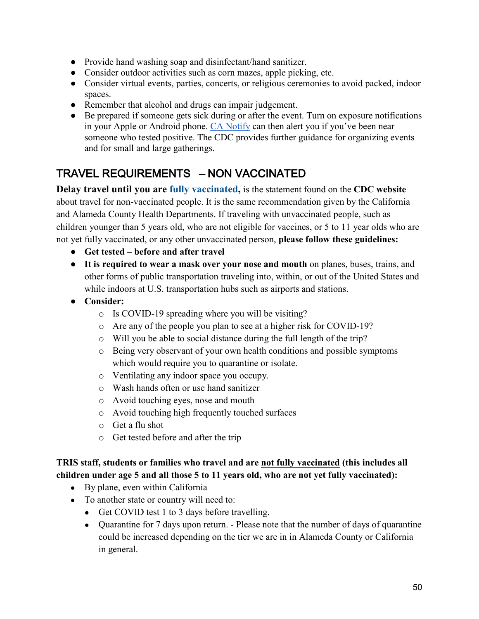- Provide hand washing soap and disinfectant/hand sanitizer.
- Consider outdoor activities such as corn mazes, apple picking, etc.
- Consider virtual events, parties, concerts, or religious ceremonies to avoid packed, indoor spaces.
- Remember that alcohol and drugs can impair judgement.
- Be prepared if someone gets sick during or after the event. Turn on exposure notifications in your Apple or Android phone. [CA Notify](https://canotify.ca.gov/) can then alert you if you've been near someone who tested positive. The CDC provides further guidance for organizing events and for small and large gatherings.

## TRAVEL REQUIREMENTS – NON VACCINATED

**Delay travel until you are [fully vaccinated,](https://www.cdc.gov/coronavirus/2019-ncov/vaccines/fully-vaccinated.html)** is the statement found on the **CDC website** about travel for non-vaccinated people. It is the same recommendation given by the California and Alameda County Health Departments. If traveling with unvaccinated people, such as children younger than 5 years old, who are not eligible for vaccines, or 5 to 11 year olds who are not yet fully vaccinated, or any other unvaccinated person, **please follow these guidelines:**

- **Get tested – before and after travel**
- **It is required to wear a mask over your nose and mouth** on planes, buses, trains, and other forms of public transportation traveling into, within, or out of the United States and while indoors at U.S. transportation hubs such as airports and stations.
- **Consider:**
	- o Is COVID-19 spreading where you will be visiting?
	- o Are any of the people you plan to see at a higher risk for COVID-19?
	- o Will you be able to social distance during the full length of the trip?
	- o Being very observant of your own health conditions and possible symptoms which would require you to quarantine or isolate.
	- o Ventilating any indoor space you occupy.
	- o Wash hands often or use hand sanitizer
	- o Avoid touching eyes, nose and mouth
	- o Avoid touching high frequently touched surfaces
	- o Get a flu shot
	- o Get tested before and after the trip

#### **TRIS staff, students or families who travel and are not fully vaccinated (this includes all children under age 5 and all those 5 to 11 years old, who are not yet fully vaccinated):**

- By plane, even within California
- To another state or country will need to:
	- Get COVID test 1 to 3 days before travelling.
	- Quarantine for 7 days upon return. Please note that the number of days of quarantine could be increased depending on the tier we are in in Alameda County or California in general.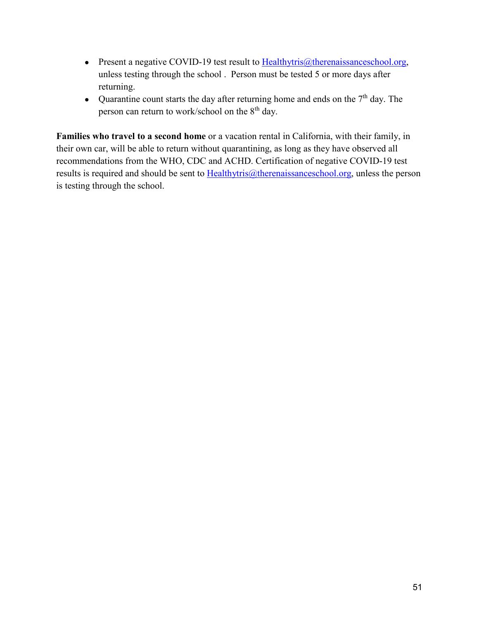- Present a negative COVID-19 test result to [Healthytris@therenaissanceschool.org,](mailto:Healthytris@therenaissanceschool.org) unless testing through the school . Person must be tested 5 or more days after returning.
- Quarantine count starts the day after returning home and ends on the  $7<sup>th</sup>$  day. The person can return to work/school on the  $8<sup>th</sup>$  day.

**Families who travel to a second home** or a vacation rental in California, with their family, in their own car, will be able to return without quarantining, as long as they have observed all recommendations from the WHO, CDC and ACHD. Certification of negative COVID-19 test results is required and should be sent to  $Hedthytris@therenaissanceschool.org, unless the person$ </u> is testing through the school.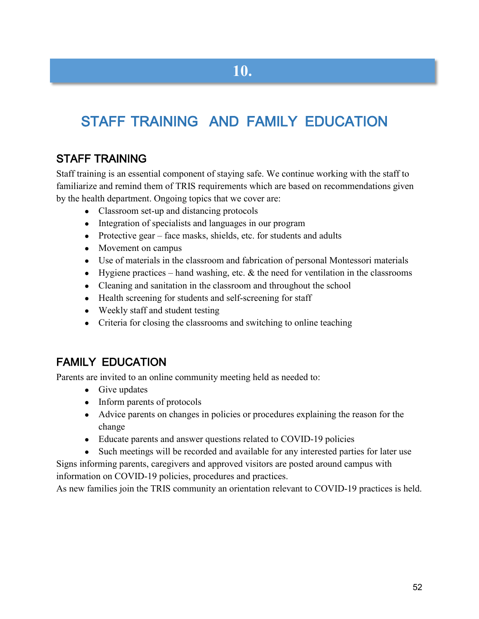# STAFF TRAINING AND FAMILY EDUCATION

## STAFF TRAINING

Staff training is an essential component of staying safe. We continue working with the staff to familiarize and remind them of TRIS requirements which are based on recommendations given by the health department. Ongoing topics that we cover are:

- Classroom set-up and distancing protocols
- Integration of specialists and languages in our program
- Protective gear face masks, shields, etc. for students and adults
- Movement on campus
- Use of materials in the classroom and fabrication of personal Montessori materials
- Hygiene practices hand washing, etc.  $&$  the need for ventilation in the classrooms
- Cleaning and sanitation in the classroom and throughout the school
- Health screening for students and self-screening for staff
- Weekly staff and student testing
- Criteria for closing the classrooms and switching to online teaching

### FAMILY EDUCATION

Parents are invited to an online community meeting held as needed to:

- Give updates
- Inform parents of protocols
- Advice parents on changes in policies or procedures explaining the reason for the change
- Educate parents and answer questions related to COVID-19 policies
- Such meetings will be recorded and available for any interested parties for later use

Signs informing parents, caregivers and approved visitors are posted around campus with information on COVID-19 policies, procedures and practices.

As new families join the TRIS community an orientation relevant to COVID-19 practices is held.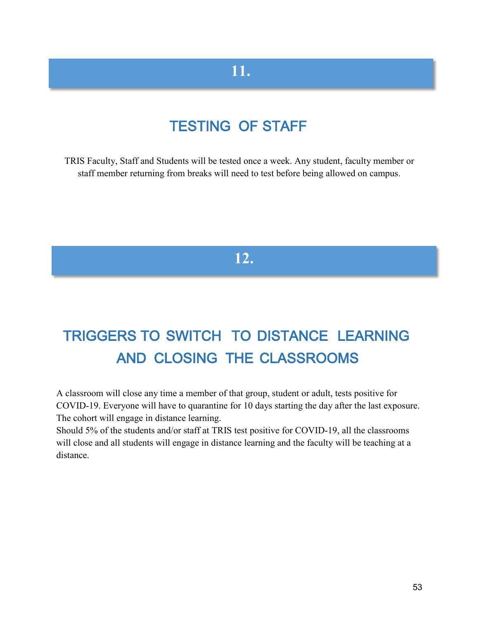# **11.**

# TESTING OF STAFF

TRIS Faculty, Staff and Students will be tested once a week. Any student, faculty member or staff member returning from breaks will need to test before being allowed on campus.

# **12.**

# TRIGGERS TO SWITCH TO DISTANCE LEARNING AND CLOSING THE CLASSROOMS

A classroom will close any time a member of that group, student or adult, tests positive for COVID-19. Everyone will have to quarantine for 10 days starting the day after the last exposure. The cohort will engage in distance learning.

Should 5% of the students and/or staff at TRIS test positive for COVID-19, all the classrooms will close and all students will engage in distance learning and the faculty will be teaching at a distance.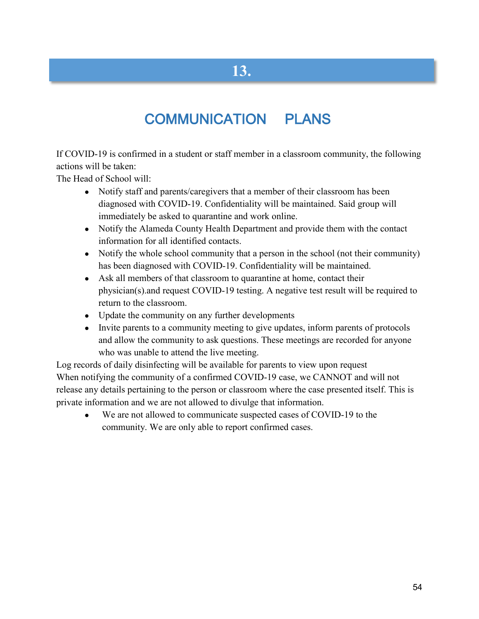# **13.**

# COMMUNICATION PLANS

If COVID-19 is confirmed in a student or staff member in a classroom community, the following actions will be taken:

The Head of School will:

- Notify staff and parents/caregivers that a member of their classroom has been diagnosed with COVID-19. Confidentiality will be maintained. Said group will immediately be asked to quarantine and work online.
- Notify the Alameda County Health Department and provide them with the contact information for all identified contacts.
- Notify the whole school community that a person in the school (not their community) has been diagnosed with COVID-19. Confidentiality will be maintained.
- Ask all members of that classroom to quarantine at home, contact their physician(s).and request COVID-19 testing. A negative test result will be required to return to the classroom.
- Update the community on any further developments
- Invite parents to a community meeting to give updates, inform parents of protocols and allow the community to ask questions. These meetings are recorded for anyone who was unable to attend the live meeting.

Log records of daily disinfecting will be available for parents to view upon request When notifying the community of a confirmed COVID-19 case, we CANNOT and will not release any details pertaining to the person or classroom where the case presented itself. This is private information and we are not allowed to divulge that information.

● We are not allowed to communicate suspected cases of COVID-19 to the community. We are only able to report confirmed cases.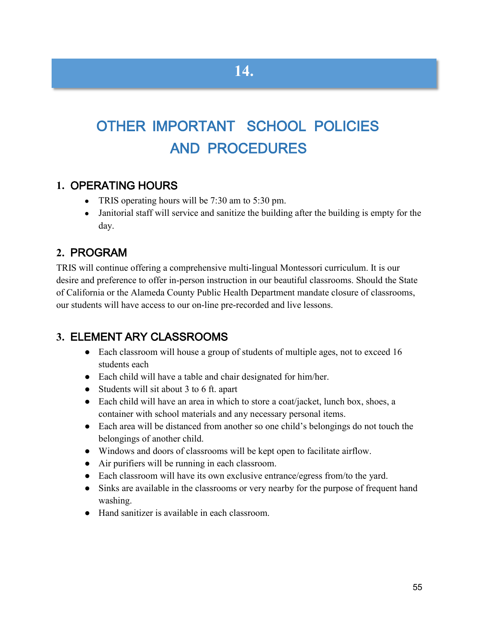# OTHER IMPORTANT SCHOOL POLICIES AND PROCEDURES

### **1.** OPERATING HOURS

- TRIS operating hours will be 7:30 am to 5:30 pm.
- Janitorial staff will service and sanitize the building after the building is empty for the day.

## **2.** PROGRAM

TRIS will continue offering a comprehensive multi-lingual Montessori curriculum. It is our desire and preference to offer in-person instruction in our beautiful classrooms. Should the State of California or the Alameda County Public Health Department mandate closure of classrooms, our students will have access to our on-line pre-recorded and live lessons.

### **3.** ELEMENT ARY CLASSROOMS

- Each classroom will house a group of students of multiple ages, not to exceed 16 students each
- Each child will have a table and chair designated for him/her.
- Students will sit about 3 to 6 ft. apart
- Each child will have an area in which to store a coat/jacket, lunch box, shoes, a container with school materials and any necessary personal items.
- Each area will be distanced from another so one child's belongings do not touch the belongings of another child.
- Windows and doors of classrooms will be kept open to facilitate airflow.
- Air purifiers will be running in each classroom.
- Each classroom will have its own exclusive entrance/egress from/to the yard.
- Sinks are available in the classrooms or very nearby for the purpose of frequent hand washing.
- Hand sanitizer is available in each classroom.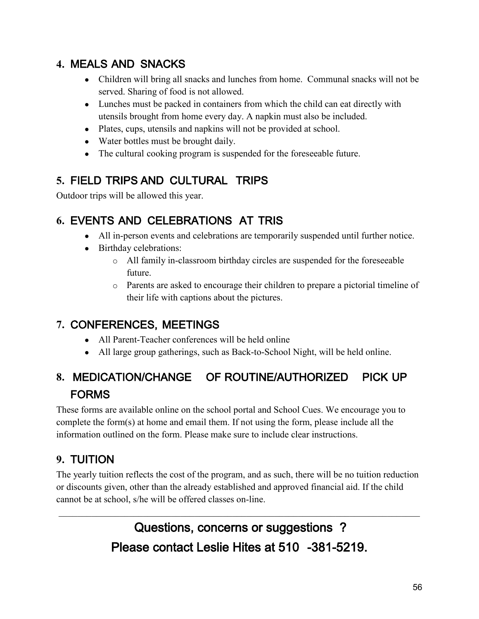## **4.** MEALS AND SNACKS

- Children will bring all snacks and lunches from home. Communal snacks will not be served. Sharing of food is not allowed.
- Lunches must be packed in containers from which the child can eat directly with utensils brought from home every day. A napkin must also be included.
- Plates, cups, utensils and napkins will not be provided at school.
- Water bottles must be brought daily.
- The cultural cooking program is suspended for the foreseeable future.

# **5.** FIELD TRIPS AND CULTURAL TRIPS

Outdoor trips will be allowed this year.

## **6.** EVENTS AND CELEBRATIONS AT TRIS

- All in-person events and celebrations are temporarily suspended until further notice.
- Birthday celebrations:
	- o All family in-classroom birthday circles are suspended for the foreseeable future.
	- o Parents are asked to encourage their children to prepare a pictorial timeline of their life with captions about the pictures.

# **7.** CONFERENCES, MEETINGS

- All Parent-Teacher conferences will be held online
- All large group gatherings, such as Back-to-School Night, will be held online.

# **8.** MEDICATION/CHANGE OF ROUTINE/AUTHORIZED PICK UP FORMS

These forms are available online on the school portal and School Cues. We encourage you to complete the form(s) at home and email them. If not using the form, please include all the information outlined on the form. Please make sure to include clear instructions.

# **9.** TUITION

The yearly tuition reflects the cost of the program, and as such, there will be no tuition reduction or discounts given, other than the already established and approved financial aid. If the child cannot be at school, s/he will be offered classes on-line.

> Questions, concerns or suggestions ? Please contact Leslie Hites at 510 -381-5219.

\_\_\_\_\_\_\_\_\_\_\_\_\_\_\_\_\_\_\_\_\_\_\_\_\_\_\_\_\_\_\_\_\_\_\_\_\_\_\_\_\_\_\_\_\_\_\_\_\_\_\_\_\_\_\_\_\_\_\_\_\_\_\_\_\_\_\_\_\_\_\_\_\_\_\_\_\_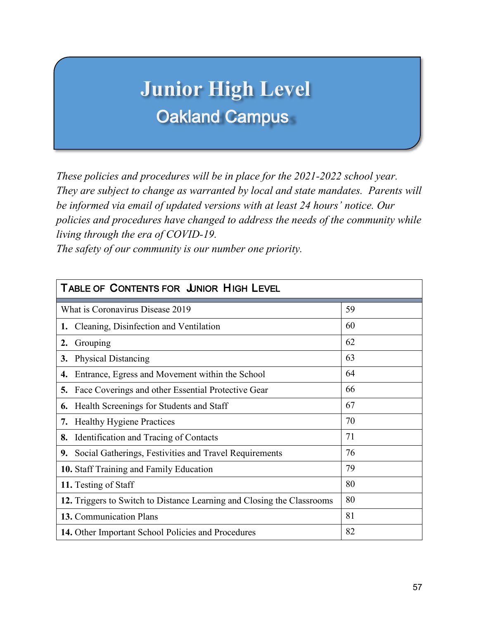# **Junior High Level** Oakland Campus

*These policies and procedures will be in place for the 2021-2022 school year. They are subject to change as warranted by local and state mandates. Parents will be informed via email of updated versions with at least 24 hours' notice. Our policies and procedures have changed to address the needs of the community while living through the era of COVID-19.* 

*The safety of our community is our number one priority.*

| <b>TABLE OF CONTENTS FOR JUNIOR HIGH LEVEL</b>                         |    |
|------------------------------------------------------------------------|----|
| What is Coronavirus Disease 2019                                       | 59 |
| Cleaning, Disinfection and Ventilation<br>1.                           | 60 |
| Grouping<br>2.                                                         | 62 |
| <b>Physical Distancing</b><br>3.                                       | 63 |
| Entrance, Egress and Movement within the School<br>4.                  | 64 |
| Face Coverings and other Essential Protective Gear<br>5.               | 66 |
| Health Screenings for Students and Staff<br>6.                         | 67 |
| <b>Healthy Hygiene Practices</b><br>7.                                 | 70 |
| Identification and Tracing of Contacts<br>8.                           | 71 |
| Social Gatherings, Festivities and Travel Requirements<br>9.           | 76 |
| 10. Staff Training and Family Education                                | 79 |
| 11. Testing of Staff                                                   | 80 |
| 12. Triggers to Switch to Distance Learning and Closing the Classrooms | 80 |
| 13. Communication Plans                                                | 81 |
| 14. Other Important School Policies and Procedures                     | 82 |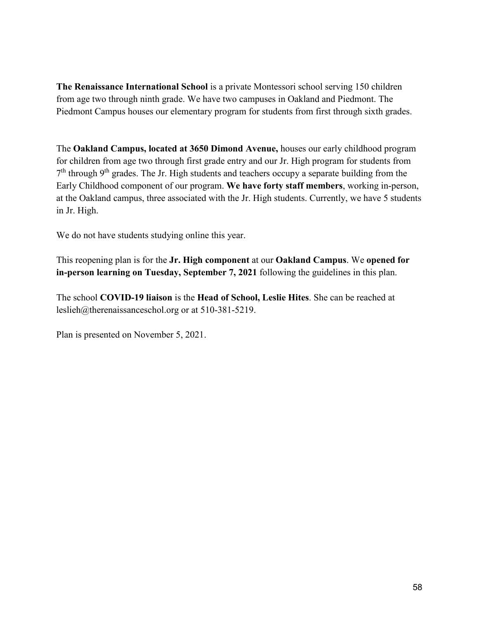**The Renaissance International School** is a private Montessori school serving 150 children from age two through ninth grade. We have two campuses in Oakland and Piedmont. The Piedmont Campus houses our elementary program for students from first through sixth grades.

The **Oakland Campus, located at 3650 Dimond Avenue,** houses our early childhood program for children from age two through first grade entry and our Jr. High program for students from  $7<sup>th</sup>$  through 9<sup>th</sup> grades. The Jr. High students and teachers occupy a separate building from the Early Childhood component of our program. **We have forty staff members**, working in-person, at the Oakland campus, three associated with the Jr. High students. Currently, we have 5 students in Jr. High.

We do not have students studying online this year.

This reopening plan is for the **Jr. High component** at our **Oakland Campus**. We **opened for in-person learning on Tuesday, September 7, 2021** following the guidelines in this plan.

The school **COVID-19 liaison** is the **Head of School, Leslie Hites**. She can be reached at [leslieh@therenaissanceschol.org](mailto:leslieh@therenaissanceschol.org) or at 510-381-5219.

Plan is presented on November 5, 2021.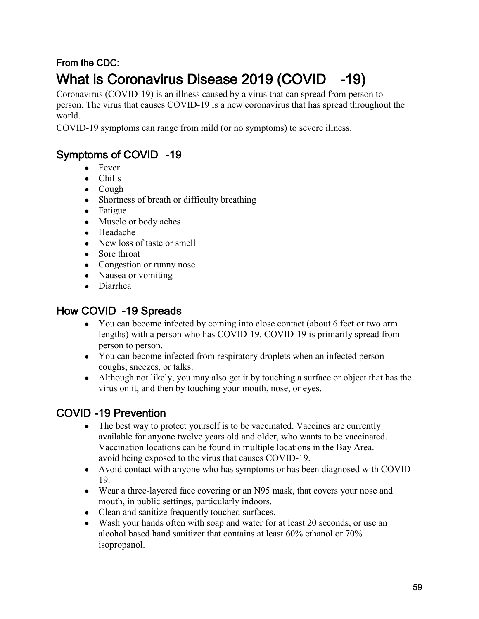# From the CDC: What is Coronavirus Disease 2019 (COVID -19)

Coronavirus (COVID-19) is an illness caused by a virus that can spread from person to person. The virus that causes COVID-19 is a new coronavirus that has spread throughout the world.

COVID-19 symptoms can range from mild (or no symptoms) to severe illness.

## Symptoms of COVID -19

- Fever
- Chills
- Cough
- Shortness of breath or difficulty breathing
- Fatigue
- Muscle or body aches
- Headache
- New loss of taste or smell
- Sore throat
- Congestion or runny nose
- Nausea or vomiting
- Diarrhea

## How COVID -19 Spreads

- You can become infected by coming into close contact (about 6 feet or two arm lengths) with a person who has COVID-19. COVID-19 is primarily spread from person to person.
- You can become infected from respiratory droplets when an infected person coughs, sneezes, or talks.
- Although not likely, you may also get it by touching a surface or object that has the virus on it, and then by touching your mouth, nose, or eyes.

## COVID -19 Prevention

- The best way to protect yourself is to be vaccinated. Vaccines are currently available for anyone twelve years old and older, who wants to be vaccinated. Vaccination locations can be found in multiple locations in the Bay Area. avoid being exposed to the virus that causes COVID-19.
- Avoid contact with anyone who has symptoms or has been diagnosed with COVID-19.
- Wear a three-layered face covering or an N95 mask, that covers your nose and mouth, in public settings, particularly indoors.
- Clean and sanitize frequently touched surfaces.
- Wash your hands often with soap and water for at least 20 seconds, or use an alcohol based hand sanitizer that contains at least 60% ethanol or 70% isopropanol.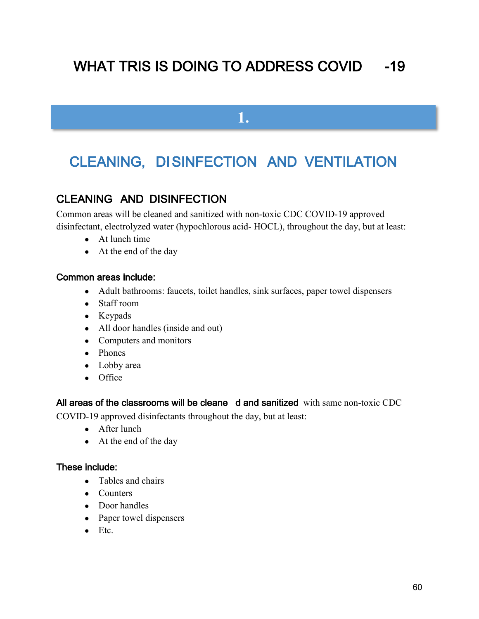# WHAT TRIS IS DOING TO ADDRESS COVID -19

**1.**

# CLEANING, DISINFECTION AND VENTILATION

## CLEANING AND DISINFECTION

Common areas will be cleaned and sanitized with non-toxic CDC COVID-19 approved disinfectant, electrolyzed water (hypochlorous acid- HOCL), throughout the day, but at least:

- At lunch time
- At the end of the day

#### Common areas include:

- Adult bathrooms: faucets, toilet handles, sink surfaces, paper towel dispensers
- Staff room
- Keypads
- All door handles (inside and out)
- Computers and monitors
- Phones
- Lobby area
- Office

#### All areas of the classrooms will be cleane d and sanitized with same non-toxic CDC

COVID-19 approved disinfectants throughout the day, but at least:

- After lunch
- At the end of the day

#### These include:

- Tables and chairs
- Counters
- Door handles
- Paper towel dispensers
- $\bullet$  Etc.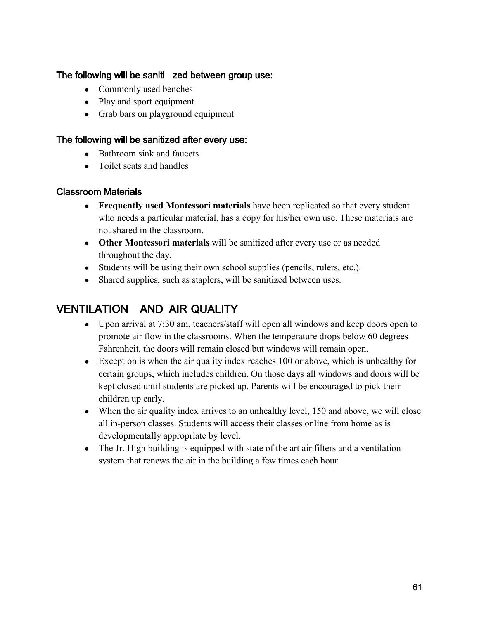#### The following will be saniti zed between group use:

- Commonly used benches
- Play and sport equipment
- Grab bars on playground equipment

#### The following will be sanitized after every use:

- Bathroom sink and faucets
- Toilet seats and handles

#### Classroom Materials

- **Frequently used Montessori materials** have been replicated so that every student who needs a particular material, has a copy for his/her own use. These materials are not shared in the classroom.
- **Other Montessori materials** will be sanitized after every use or as needed throughout the day.
- Students will be using their own school supplies (pencils, rulers, etc.).
- Shared supplies, such as staplers, will be sanitized between uses.

## VENTILATION AND AIR QUALITY

- Upon arrival at 7:30 am, teachers/staff will open all windows and keep doors open to promote air flow in the classrooms. When the temperature drops below 60 degrees Fahrenheit, the doors will remain closed but windows will remain open.
- Exception is when the air quality index reaches 100 or above, which is unhealthy for certain groups, which includes children. On those days all windows and doors will be kept closed until students are picked up. Parents will be encouraged to pick their children up early.
- When the air quality index arrives to an unhealthy level, 150 and above, we will close all in-person classes. Students will access their classes online from home as is developmentally appropriate by level.
- The Jr. High building is equipped with state of the art air filters and a ventilation system that renews the air in the building a few times each hour.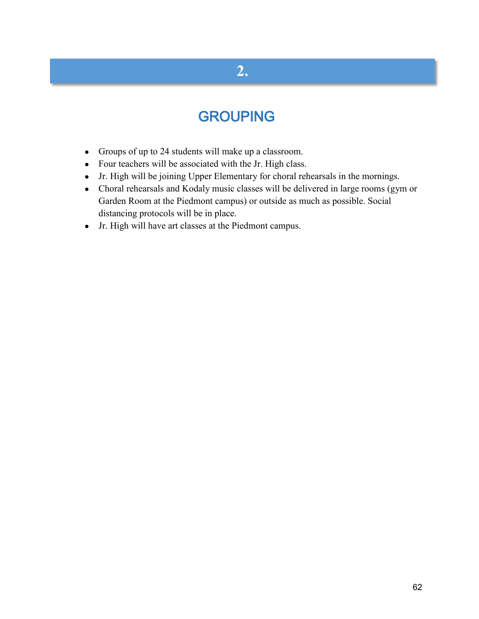# **2.**

# GROUPING

- Groups of up to 24 students will make up a classroom.
- Four teachers will be associated with the Jr. High class.
- Jr. High will be joining Upper Elementary for choral rehearsals in the mornings.
- Choral rehearsals and Kodaly music classes will be delivered in large rooms (gym or Garden Room at the Piedmont campus) or outside as much as possible. Social distancing protocols will be in place.
- Jr. High will have art classes at the Piedmont campus.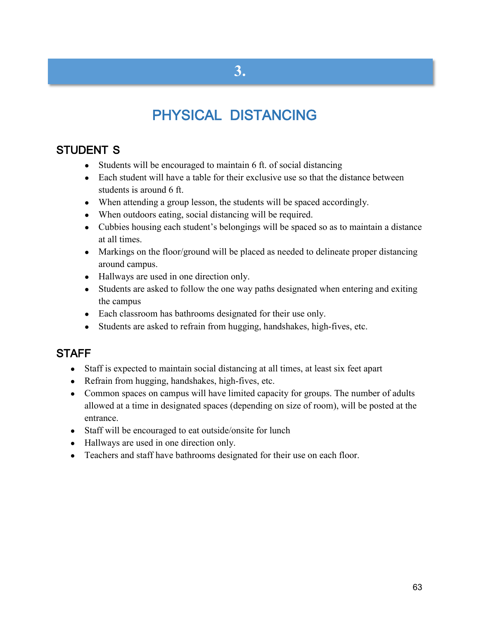# PHYSICAL DISTANCING

## STUDENT S

- Students will be encouraged to maintain 6 ft. of social distancing
- Each student will have a table for their exclusive use so that the distance between students is around 6 ft.
- When attending a group lesson, the students will be spaced accordingly.
- When outdoors eating, social distancing will be required.
- Cubbies housing each student's belongings will be spaced so as to maintain a distance at all times.
- Markings on the floor/ground will be placed as needed to delineate proper distancing around campus.
- Hallways are used in one direction only.
- Students are asked to follow the one way paths designated when entering and exiting the campus
- Each classroom has bathrooms designated for their use only.
- Students are asked to refrain from hugging, handshakes, high-fives, etc.

### **STAFF**

- Staff is expected to maintain social distancing at all times, at least six feet apart
- Refrain from hugging, handshakes, high-fives, etc.
- Common spaces on campus will have limited capacity for groups. The number of adults allowed at a time in designated spaces (depending on size of room), will be posted at the entrance.
- Staff will be encouraged to eat outside/onsite for lunch
- Hallways are used in one direction only.
- Teachers and staff have bathrooms designated for their use on each floor.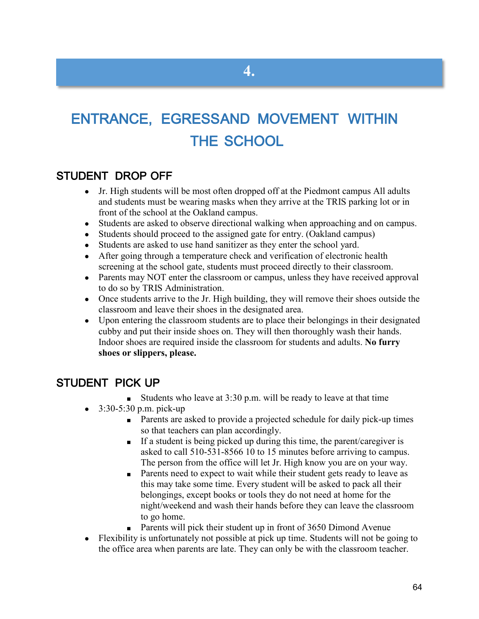# ENTRANCE, EGRESSAND MOVEMENT WITHIN THE SCHOOL

### STUDENT DROP OFF

- Jr. High students will be most often dropped off at the Piedmont campus All adults and students must be wearing masks when they arrive at the TRIS parking lot or in front of the school at the Oakland campus.
- Students are asked to observe directional walking when approaching and on campus.
- Students should proceed to the assigned gate for entry. (Oakland campus)
- Students are asked to use hand sanitizer as they enter the school yard.
- After going through a temperature check and verification of electronic health screening at the school gate, students must proceed directly to their classroom.
- Parents may NOT enter the classroom or campus, unless they have received approval to do so by TRIS Administration.
- Once students arrive to the Jr. High building, they will remove their shoes outside the classroom and leave their shoes in the designated area.
- Upon entering the classroom students are to place their belongings in their designated cubby and put their inside shoes on. They will then thoroughly wash their hands. Indoor shoes are required inside the classroom for students and adults. **No furry shoes or slippers, please.**

### STUDENT PICK UP

- Students who leave at  $3:30$  p.m. will be ready to leave at that time
- $\bullet$  3:30-5:30 p.m. pick-up
	- Parents are asked to provide a projected schedule for daily pick-up times so that teachers can plan accordingly.
	- If a student is being picked up during this time, the parent/caregiver is asked to call 510-531-8566 10 to 15 minutes before arriving to campus. The person from the office will let Jr. High know you are on your way.
	- Parents need to expect to wait while their student gets ready to leave as this may take some time. Every student will be asked to pack all their belongings, except books or tools they do not need at home for the night/weekend and wash their hands before they can leave the classroom to go home.
	- Parents will pick their student up in front of 3650 Dimond Avenue
- Flexibility is unfortunately not possible at pick up time. Students will not be going to the office area when parents are late. They can only be with the classroom teacher.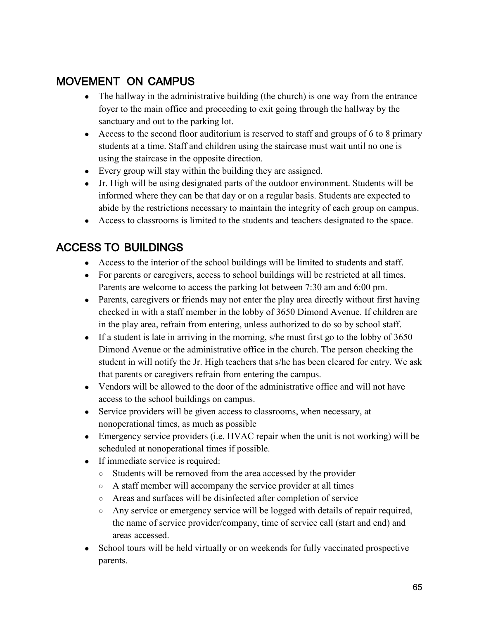## MOVEMENT ON CAMPUS

- The hallway in the administrative building (the church) is one way from the entrance foyer to the main office and proceeding to exit going through the hallway by the sanctuary and out to the parking lot.
- Access to the second floor auditorium is reserved to staff and groups of 6 to 8 primary students at a time. Staff and children using the staircase must wait until no one is using the staircase in the opposite direction.
- Every group will stay within the building they are assigned.
- Jr. High will be using designated parts of the outdoor environment. Students will be informed where they can be that day or on a regular basis. Students are expected to abide by the restrictions necessary to maintain the integrity of each group on campus.
- Access to classrooms is limited to the students and teachers designated to the space.

## ACCESS TO BUILDINGS

- Access to the interior of the school buildings will be limited to students and staff.
- For parents or caregivers, access to school buildings will be restricted at all times. Parents are welcome to access the parking lot between 7:30 am and 6:00 pm.
- Parents, caregivers or friends may not enter the play area directly without first having checked in with a staff member in the lobby of 3650 Dimond Avenue. If children are in the play area, refrain from entering, unless authorized to do so by school staff.
- If a student is late in arriving in the morning, s/he must first go to the lobby of 3650 Dimond Avenue or the administrative office in the church. The person checking the student in will notify the Jr. High teachers that s/he has been cleared for entry. We ask that parents or caregivers refrain from entering the campus.
- Vendors will be allowed to the door of the administrative office and will not have access to the school buildings on campus.
- Service providers will be given access to classrooms, when necessary, at nonoperational times, as much as possible
- Emergency service providers (i.e. HVAC repair when the unit is not working) will be scheduled at nonoperational times if possible.
- If immediate service is required:
	- Students will be removed from the area accessed by the provider
	- A staff member will accompany the service provider at all times
	- Areas and surfaces will be disinfected after completion of service
	- Any service or emergency service will be logged with details of repair required, the name of service provider/company, time of service call (start and end) and areas accessed.
- School tours will be held virtually or on weekends for fully vaccinated prospective parents.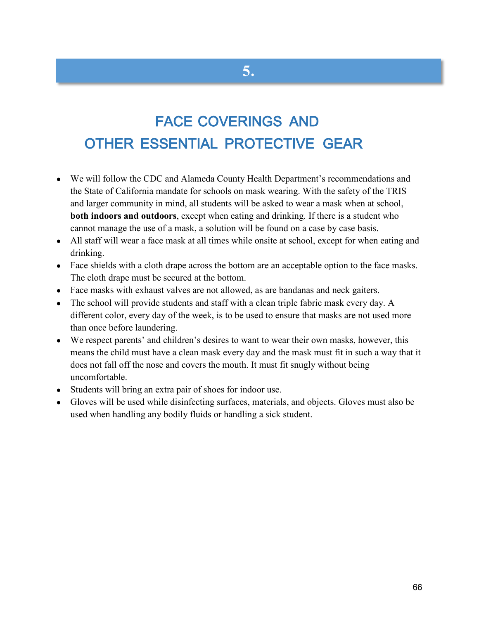# FACE COVERINGS AND OTHER ESSENTIAL PROTECTIVE GEAR

**5.**

- We will follow the CDC and Alameda County Health Department's recommendations and the State of California mandate for schools on mask wearing. With the safety of the TRIS and larger community in mind, all students will be asked to wear a mask when at school, **both indoors and outdoors**, except when eating and drinking. If there is a student who cannot manage the use of a mask, a solution will be found on a case by case basis.
- All staff will wear a face mask at all times while onsite at school, except for when eating and drinking.
- Face shields with a cloth drape across the bottom are an acceptable option to the face masks. The cloth drape must be secured at the bottom.
- Face masks with exhaust valves are not allowed, as are bandanas and neck gaiters.
- The school will provide students and staff with a clean triple fabric mask every day. A different color, every day of the week, is to be used to ensure that masks are not used more than once before laundering.
- We respect parents' and children's desires to want to wear their own masks, however, this means the child must have a clean mask every day and the mask must fit in such a way that it does not fall off the nose and covers the mouth. It must fit snugly without being uncomfortable.
- Students will bring an extra pair of shoes for indoor use.
- Gloves will be used while disinfecting surfaces, materials, and objects. Gloves must also be used when handling any bodily fluids or handling a sick student.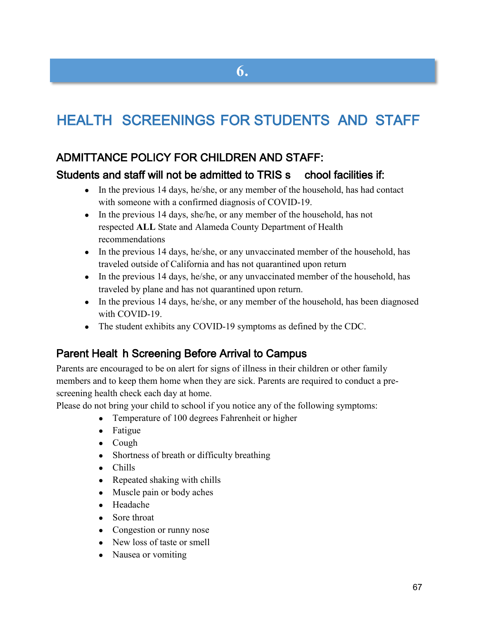# HEALTH SCREENINGS FOR STUDENTS AND STAFF

### ADMITTANCE POLICY FOR CHILDREN AND STAFF:

#### Students and staff will not be admitted to TRIS s chool facilities if:

- In the previous 14 days, he/she, or any member of the household, has had contact with someone with a confirmed diagnosis of COVID-19.
- In the previous 14 days, she/he, or any member of the household, has not respected **ALL** State and Alameda County Department of Health recommendations
- In the previous 14 days, he/she, or any unvaccinated member of the household, has traveled outside of California and has not quarantined upon return
- In the previous 14 days, he/she, or any unvaccinated member of the household, has traveled by plane and has not quarantined upon return.
- In the previous 14 days, he/she, or any member of the household, has been diagnosed with COVID-19.
- The student exhibits any COVID-19 symptoms as defined by the CDC.

### Parent Healt h Screening Before Arrival to Campus

Parents are encouraged to be on alert for signs of illness in their children or other family members and to keep them home when they are sick. Parents are required to conduct a prescreening health check each day at home.

Please do not bring your child to school if you notice any of the following symptoms:

- Temperature of 100 degrees Fahrenheit or higher
- Fatigue
- Cough
- Shortness of breath or difficulty breathing
- Chills
- Repeated shaking with chills
- Muscle pain or body aches
- Headache
- Sore throat
- Congestion or runny nose
- New loss of taste or smell
- Nausea or vomiting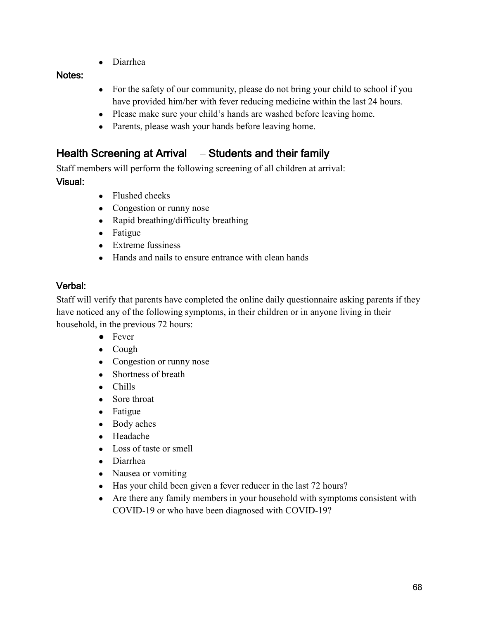● Diarrhea

#### Notes:

- For the safety of our community, please do not bring your child to school if you have provided him/her with fever reducing medicine within the last 24 hours.
- Please make sure your child's hands are washed before leaving home.
- Parents, please wash your hands before leaving home.

### Health Screening at Arrival – Students and their family

Staff members will perform the following screening of all children at arrival:

#### Visual:

- Flushed cheeks
- Congestion or runny nose
- Rapid breathing/difficulty breathing
- Fatigue
- Extreme fussiness
- Hands and nails to ensure entrance with clean hands

### Verbal:

Staff will verify that parents have completed the online daily questionnaire asking parents if they have noticed any of the following symptoms, in their children or in anyone living in their household, in the previous 72 hours:

- Fever
- Cough
- Congestion or runny nose
- Shortness of breath
- Chills
- Sore throat
- Fatigue
- Body aches
- Headache
- Loss of taste or smell
- Diarrhea
- Nausea or vomiting
- Has your child been given a fever reducer in the last 72 hours?
- Are there any family members in your household with symptoms consistent with COVID-19 or who have been diagnosed with COVID-19?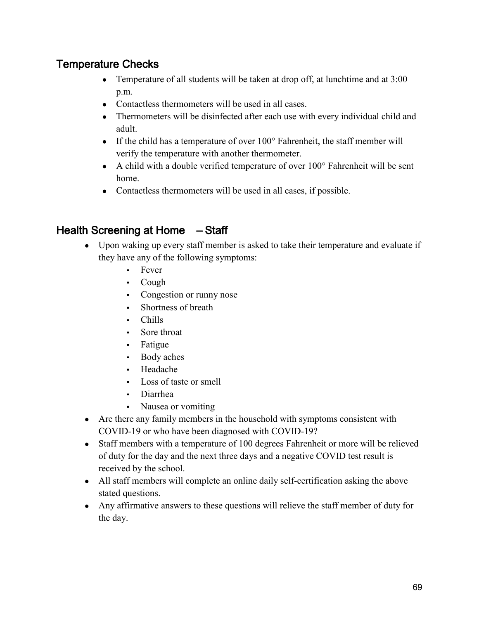## Temperature Checks

- Temperature of all students will be taken at drop off, at lunchtime and at 3:00 p.m.
- Contactless thermometers will be used in all cases.
- Thermometers will be disinfected after each use with every individual child and adult.
- If the child has a temperature of over  $100^\circ$  Fahrenheit, the staff member will verify the temperature with another thermometer.
- $\bullet$  A child with a double verified temperature of over  $100^{\circ}$  Fahrenheit will be sent home.
- Contactless thermometers will be used in all cases, if possible.

### Health Screening at Home – Staff

- Upon waking up every staff member is asked to take their temperature and evaluate if they have any of the following symptoms:
	- Fever
	- Cough
	- Congestion or runny nose
	- Shortness of breath
	- Chills
	- Sore throat
	- Fatigue
	- Body aches
	- Headache
	- Loss of taste or smell
	- Diarrhea
	- Nausea or vomiting
- Are there any family members in the household with symptoms consistent with COVID-19 or who have been diagnosed with COVID-19?
- Staff members with a temperature of 100 degrees Fahrenheit or more will be relieved of duty for the day and the next three days and a negative COVID test result is received by the school.
- All staff members will complete an online daily self-certification asking the above stated questions.
- Any affirmative answers to these questions will relieve the staff member of duty for the day.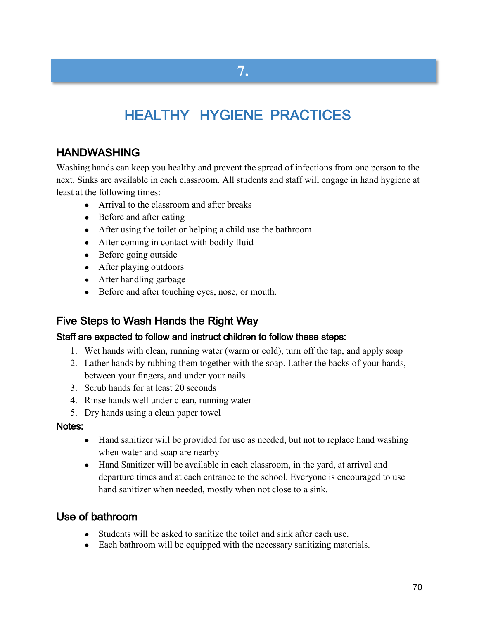# **7.**

# HEALTHY HYGIENE PRACTICES

### HANDWASHING

Washing hands can keep you healthy and prevent the spread of infections from one person to the next. Sinks are available in each classroom. All students and staff will engage in hand hygiene at least at the following times:

- Arrival to the classroom and after breaks
- Before and after eating
- After using the toilet or helping a child use the bathroom
- After coming in contact with bodily fluid
- Before going outside
- After playing outdoors
- After handling garbage
- Before and after touching eyes, nose, or mouth.

### Five Steps to Wash Hands the Right Way

#### Staff are expected to follow and instruct children to follow these steps:

- 1. Wet hands with clean, running water (warm or cold), turn off the tap, and apply soap
- 2. Lather hands by rubbing them together with the soap. Lather the backs of your hands, between your fingers, and under your nails
- 3. Scrub hands for at least 20 seconds
- 4. Rinse hands well under clean, running water
- 5. Dry hands using a clean paper towel

#### Notes:

- Hand sanitizer will be provided for use as needed, but not to replace hand washing when water and soap are nearby
- Hand Sanitizer will be available in each classroom, in the yard, at arrival and departure times and at each entrance to the school. Everyone is encouraged to use hand sanitizer when needed, mostly when not close to a sink.

#### Use of bathroom

- Students will be asked to sanitize the toilet and sink after each use.
- Each bathroom will be equipped with the necessary sanitizing materials.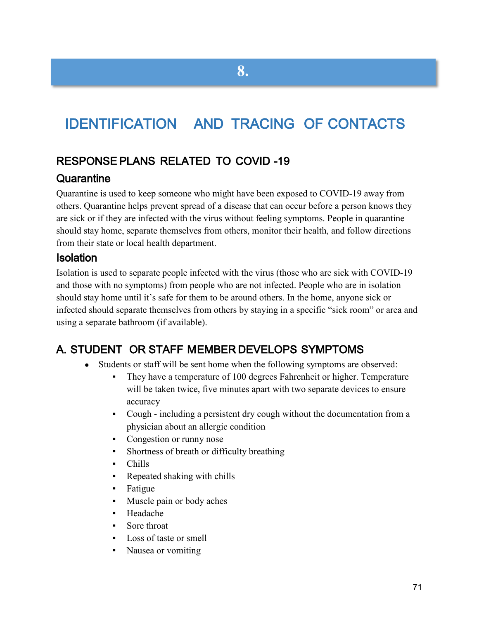# IDENTIFICATION AND TRACING OF CONTACTS

**8.**

## RESPONSE PLANS RELATED TO COVID -19

#### **Quarantine**

Quarantine is used to keep someone who might have been exposed to COVID-19 away from others. Quarantine helps prevent spread of a disease that can occur before a person knows they are sick or if they are infected with the virus without feeling symptoms. People in quarantine should stay home, separate themselves from others, monitor their health, and follow directions from their state or local health department.

#### Isolation

Isolation is used to separate people infected with the virus (those who are sick with COVID-19 and those with no symptoms) from people who are not infected. People who are in isolation should stay home until it's safe for them to be around others. In the home, anyone sick or infected should separate themselves from others by staying in a specific "sick room" or area and using a separate bathroom (if available).

## A. STUDENT OR STAFF MEMBER DEVELOPS SYMPTOMS

- Students or staff will be sent home when the following symptoms are observed:
	- They have a temperature of 100 degrees Fahrenheit or higher. Temperature will be taken twice, five minutes apart with two separate devices to ensure accuracy
	- Cough including a persistent dry cough without the documentation from a physician about an allergic condition
	- Congestion or runny nose
	- Shortness of breath or difficulty breathing
	- Chills
	- Repeated shaking with chills
	- Fatigue
	- Muscle pain or body aches
	- Headache
	- Sore throat
	- Loss of taste or smell
	- Nausea or vomiting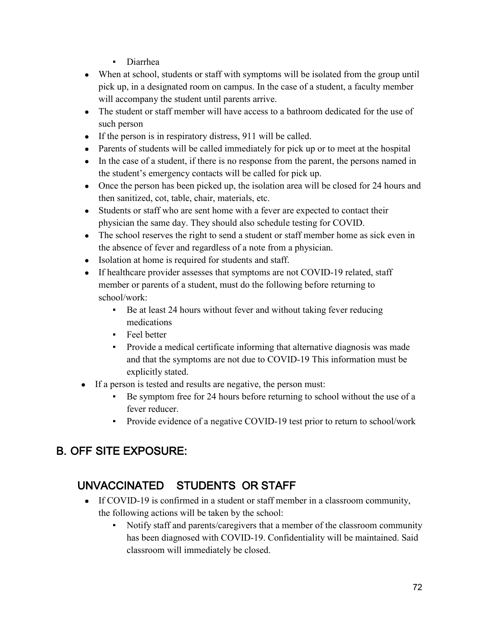- Diarrhea
- When at school, students or staff with symptoms will be isolated from the group until pick up, in a designated room on campus. In the case of a student, a faculty member will accompany the student until parents arrive.
- The student or staff member will have access to a bathroom dedicated for the use of such person
- If the person is in respiratory distress, 911 will be called.
- Parents of students will be called immediately for pick up or to meet at the hospital
- In the case of a student, if there is no response from the parent, the persons named in the student's emergency contacts will be called for pick up.
- Once the person has been picked up, the isolation area will be closed for 24 hours and then sanitized, cot, table, chair, materials, etc.
- Students or staff who are sent home with a fever are expected to contact their physician the same day. They should also schedule testing for COVID.
- The school reserves the right to send a student or staff member home as sick even in the absence of fever and regardless of a note from a physician.
- Isolation at home is required for students and staff.
- If healthcare provider assesses that symptoms are not COVID-19 related, staff member or parents of a student, must do the following before returning to school/work:
	- Be at least 24 hours without fever and without taking fever reducing medications
	- Feel better
	- Provide a medical certificate informing that alternative diagnosis was made and that the symptoms are not due to COVID-19 This information must be explicitly stated.
- If a person is tested and results are negative, the person must:
	- Be symptom free for 24 hours before returning to school without the use of a fever reducer.
	- Provide evidence of a negative COVID-19 test prior to return to school/work

# B. OFF SITE EXPOSURE:

## UNVACCINATED STUDENTS OR STAFF

- If COVID-19 is confirmed in a student or staff member in a classroom community, the following actions will be taken by the school:
	- Notify staff and parents/caregivers that a member of the classroom community has been diagnosed with COVID-19. Confidentiality will be maintained. Said classroom will immediately be closed.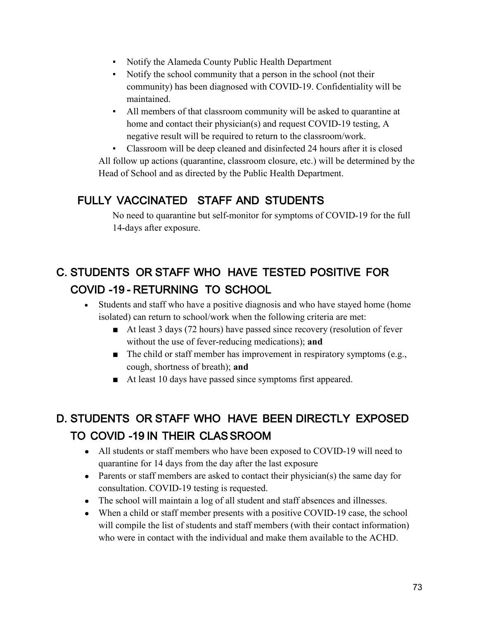- Notify the Alameda County Public Health Department
- Notify the school community that a person in the school (not their community) has been diagnosed with COVID-19. Confidentiality will be maintained.
- All members of that classroom community will be asked to quarantine at home and contact their physician(s) and request COVID-19 testing, A negative result will be required to return to the classroom/work.

Classroom will be deep cleaned and disinfected 24 hours after it is closed All follow up actions (quarantine, classroom closure, etc.) will be determined by the Head of School and as directed by the Public Health Department.

### FULLY VACCINATED STAFF AND STUDENTS

No need to quarantine but self-monitor for symptoms of COVID-19 for the full 14-days after exposure.

# C. STUDENTS OR STAFF WHO HAVE TESTED POSITIVE FOR COVID -19 - RETURNING TO SCHOOL

- Students and staff who have a positive diagnosis and who have stayed home (home isolated) can return to school/work when the following criteria are met:
	- At least 3 days (72 hours) have passed since recovery (resolution of fever without the use of fever-reducing medications); **and**
	- $\blacksquare$  The child or staff member has improvement in respiratory symptoms (e.g., cough, shortness of breath); **and**
	- At least 10 days have passed since symptoms first appeared.

# D. STUDENTS OR STAFF WHO HAVE BEEN DIRECTLY EXPOSED TO COVID -19 IN THEIR CLASSROOM

- All students or staff members who have been exposed to COVID-19 will need to quarantine for 14 days from the day after the last exposure
- Parents or staff members are asked to contact their physician(s) the same day for consultation. COVID-19 testing is requested.
- The school will maintain a log of all student and staff absences and illnesses.
- When a child or staff member presents with a positive COVID-19 case, the school will compile the list of students and staff members (with their contact information) who were in contact with the individual and make them available to the ACHD.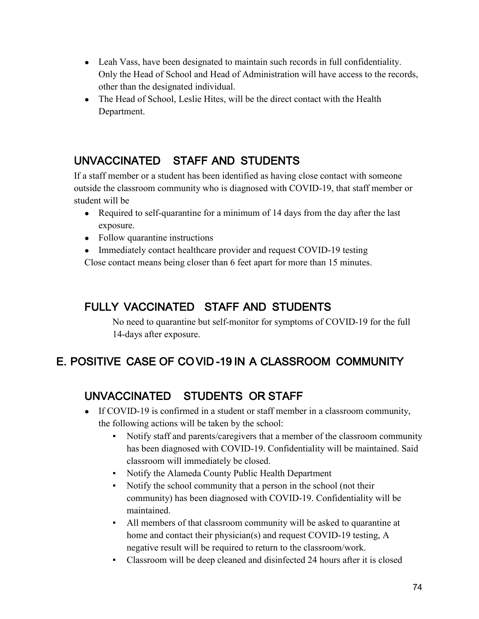- Leah Vass, have been designated to maintain such records in full confidentiality. Only the Head of School and Head of Administration will have access to the records, other than the designated individual.
- The Head of School, Leslie Hites, will be the direct contact with the Health Department.

### UNVACCINATED STAFF AND STUDENTS

If a staff member or a student has been identified as having close contact with someone outside the classroom community who is diagnosed with COVID-19, that staff member or student will be

- Required to self-quarantine for a minimum of 14 days from the day after the last exposure.
- Follow quarantine instructions
- Immediately contact healthcare provider and request COVID-19 testing

Close contact means being closer than 6 feet apart for more than 15 minutes.

#### FULLY VACCINATED STAFF AND STUDENTS

No need to quarantine but self-monitor for symptoms of COVID-19 for the full 14-days after exposure.

### E. POSITIVE CASE OF COVID -19 IN A CLASSROOM COMMUNITY

### UNVACCINATED STUDENTS OR STAFF

- If COVID-19 is confirmed in a student or staff member in a classroom community, the following actions will be taken by the school:
	- Notify staff and parents/caregivers that a member of the classroom community has been diagnosed with COVID-19. Confidentiality will be maintained. Said classroom will immediately be closed.
	- Notify the Alameda County Public Health Department
	- Notify the school community that a person in the school (not their community) has been diagnosed with COVID-19. Confidentiality will be maintained.
	- All members of that classroom community will be asked to quarantine at home and contact their physician(s) and request COVID-19 testing, A negative result will be required to return to the classroom/work.
	- Classroom will be deep cleaned and disinfected 24 hours after it is closed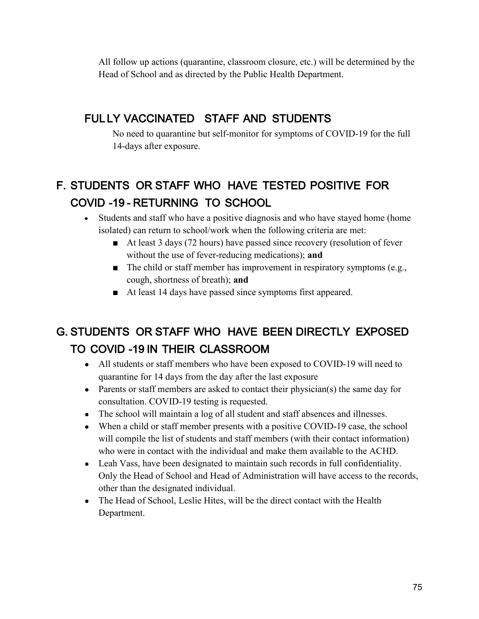All follow up actions (quarantine, classroom closure, etc.) will be determined by the Head of School and as directed by the Public Health Department.

### FUL LY VACCINATED STAFF AND STUDENTS

No need to quarantine but self-monitor for symptoms of COVID-19 for the full 14-days after exposure.

# F. STUDENTS OR STAFF WHO HAVE TESTED POSITIVE FOR COVID -19 - RETURNING TO SCHOOL

- Students and staff who have a positive diagnosis and who have stayed home (home isolated) can return to school/work when the following criteria are met:
	- At least 3 days (72 hours) have passed since recovery (resolution of fever without the use of fever-reducing medications); **and**
	- $\blacksquare$  The child or staff member has improvement in respiratory symptoms (e.g., cough, shortness of breath); **and**
	- At least 14 days have passed since symptoms first appeared.

## G. STUDENTS OR STAFF WHO HAVE BEEN DIRECTLY EXPOSED TO COVID -19 IN THEIR CLASSROOM

- All students or staff members who have been exposed to COVID-19 will need to quarantine for 14 days from the day after the last exposure
- Parents or staff members are asked to contact their physician(s) the same day for consultation. COVID-19 testing is requested.
- The school will maintain a log of all student and staff absences and illnesses.
- When a child or staff member presents with a positive COVID-19 case, the school will compile the list of students and staff members (with their contact information) who were in contact with the individual and make them available to the ACHD.
- Leah Vass, have been designated to maintain such records in full confidentiality. Only the Head of School and Head of Administration will have access to the records, other than the designated individual.
- The Head of School, Leslie Hites, will be the direct contact with the Health Department.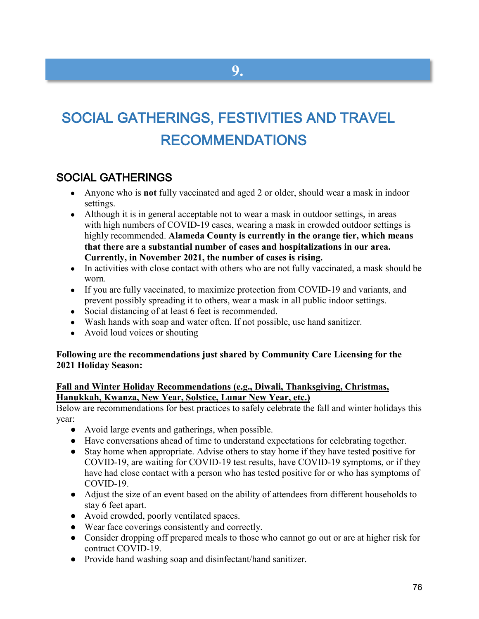# SOCIAL GATHERINGS, FESTIVITIES AND TRAVEL RECOMMENDATIONS

**9.**

#### SOCIAL GATHERINGS

- Anyone who is **not** fully vaccinated and aged 2 or older, should wear a mask in indoor settings.
- Although it is in general acceptable not to wear a mask in outdoor settings, in areas with [high numbers of COVID-19 cases,](https://covid.cdc.gov/covid-data-tracker/#county-view) wearing a mask in crowded outdoor settings is highly recommended. **Alameda County is currently in the orange tier, which means that there are a substantial number of cases and hospitalizations in our area. Currently, in November 2021, the number of cases is rising.**
- In activities with [close contact](https://www.cdc.gov/coronavirus/2019-ncov/php/contact-tracing/contact-tracing-plan/appendix.html#contact) with others who are not fully vaccinated, a mask should be worn.
- If you are fully vaccinated, to maximize protection from COVID-19 and variants, and prevent possibly spreading it to others, wear a mask in all public indoor settings.
- Social distancing of at least 6 feet is recommended.
- Wash hands with soap and water often. If not possible, use hand sanitizer.
- Avoid loud voices or shouting

#### **Following are the recommendations just shared by Community Care Licensing for the 2021 Holiday Season:**

#### **Fall and Winter Holiday Recommendations (e.g., Diwali, Thanksgiving, Christmas, Hanukkah, Kwanza, New Year, Solstice, Lunar New Year, etc.)**

Below are recommendations for best practices to safely celebrate the fall and winter holidays this year:

- Avoid large events and gatherings, when possible.
- Have conversations ahead of time to understand expectations for celebrating together.
- Stay home when appropriate. Advise others to stay home if they have tested positive for COVID-19, are waiting for COVID-19 test results, have COVID-19 symptoms, or if they have had close contact with a person who has tested positive for or who has symptoms of COVID-19.
- Adjust the size of an event based on the ability of attendees from different households to stay 6 feet apart.
- Avoid crowded, poorly ventilated spaces.
- Wear face coverings consistently and correctly.
- Consider dropping off prepared meals to those who cannot go out or are at higher risk for contract COVID-19.
- Provide hand washing soap and disinfectant/hand sanitizer.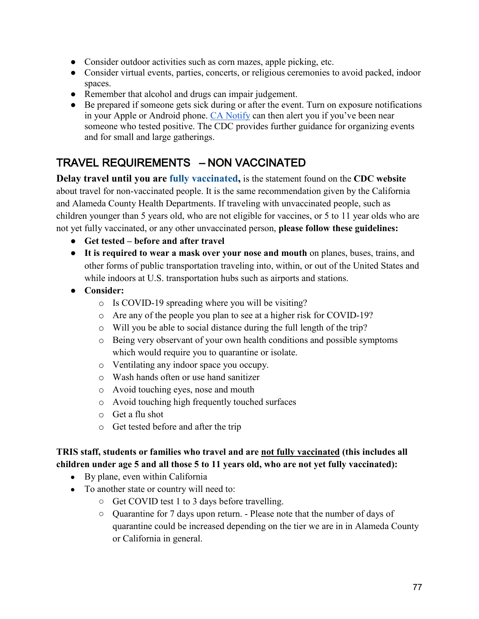- Consider outdoor activities such as corn mazes, apple picking, etc.
- Consider virtual events, parties, concerts, or religious ceremonies to avoid packed, indoor spaces.
- Remember that alcohol and drugs can impair judgement.
- Be prepared if someone gets sick during or after the event. Turn on exposure notifications in your Apple or Android phone. CA [Notify](https://canotify.ca.gov/) can then alert you if you've been near someone who tested positive. The CDC provides further guidance for organizing events and for small and large gatherings.

### TRAVEL REQUIREMENTS – NON VACCINATED

**Delay travel until you are [fully vaccinated,](https://www.cdc.gov/coronavirus/2019-ncov/vaccines/fully-vaccinated.html)** is the statement found on the **CDC website** about travel for non-vaccinated people. It is the same recommendation given by the California and Alameda County Health Departments. If traveling with unvaccinated people, such as children younger than 5 years old, who are not eligible for vaccines, or 5 to 11 year olds who are not yet fully vaccinated, or any other unvaccinated person, **please follow these guidelines:**

- **Get tested – before and after travel**
- **It is required to wear a mask over your nose and mouth** on planes, buses, trains, and other forms of public transportation traveling into, within, or out of the United States and while indoors at U.S. transportation hubs such as airports and stations.
- **Consider:**
	- o Is COVID-19 spreading where you will be visiting?
	- o Are any of the people you plan to see at a higher risk for COVID-19?
	- o Will you be able to social distance during the full length of the trip?
	- o Being very observant of your own health conditions and possible symptoms which would require you to quarantine or isolate.
	- o Ventilating any indoor space you occupy.
	- o Wash hands often or use hand sanitizer
	- o Avoid touching eyes, nose and mouth
	- o Avoid touching high frequently touched surfaces
	- o Get a flu shot
	- o Get tested before and after the trip

#### **TRIS staff, students or families who travel and are not fully vaccinated (this includes all children under age 5 and all those 5 to 11 years old, who are not yet fully vaccinated):**

- By plane, even within California
- To another state or country will need to:
	- Get COVID test 1 to 3 days before travelling.
	- Quarantine for 7 days upon return. Please note that the number of days of quarantine could be increased depending on the tier we are in in Alameda County or California in general.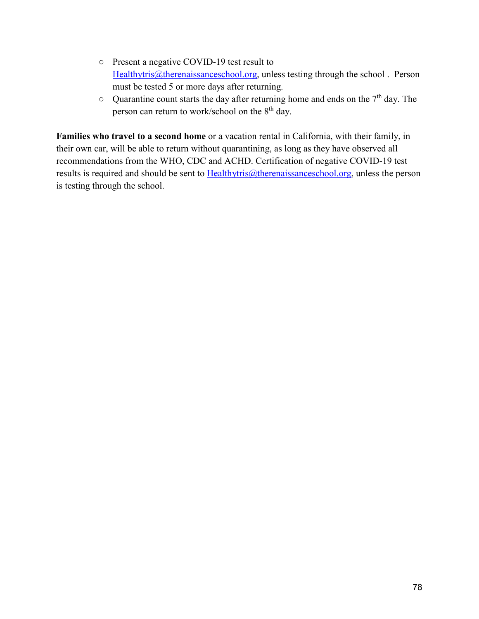- Present a negative COVID-19 test result to [Healthytris@therenaissanceschool.org,](mailto:Healthytris@therenaissanceschool.org) unless testing through the school. Person must be tested 5 or more days after returning.
- Quarantine count starts the day after returning home and ends on the 7<sup>th</sup> day. The person can return to work/school on the 8<sup>th</sup> day.

**Families who travel to a second home** or a vacation rental in California, with their family, in their own car, will be able to return without quarantining, as long as they have observed all recommendations from the WHO, CDC and ACHD. Certification of negative COVID-19 test results is required and should be sent to  $Hedthytris@therenaissanceschool.org, unless the person$ </u> is testing through the school.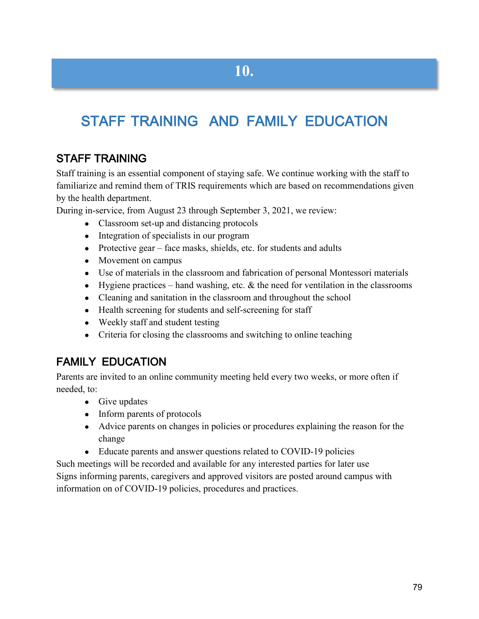# STAFF TRAINING AND FAMILY EDUCATION

#### STAFF TRAINING

Staff training is an essential component of staying safe. We continue working with the staff to familiarize and remind them of TRIS requirements which are based on recommendations given by the health department.

During in-service, from August 23 through September 3, 2021, we review:

- Classroom set-up and distancing protocols
- Integration of specialists in our program
- Protective gear face masks, shields, etc. for students and adults
- Movement on campus
- Use of materials in the classroom and fabrication of personal Montessori materials
- Hygiene practices hand washing, etc.  $\&$  the need for ventilation in the classrooms
- Cleaning and sanitation in the classroom and throughout the school
- Health screening for students and self-screening for staff
- Weekly staff and student testing
- Criteria for closing the classrooms and switching to online teaching

#### FAMILY EDUCATION

Parents are invited to an online community meeting held every two weeks, or more often if needed, to:

- Give updates
- Inform parents of protocols
- Advice parents on changes in policies or procedures explaining the reason for the change
- Educate parents and answer questions related to COVID-19 policies

Such meetings will be recorded and available for any interested parties for later use Signs informing parents, caregivers and approved visitors are posted around campus with information on of COVID-19 policies, procedures and practices.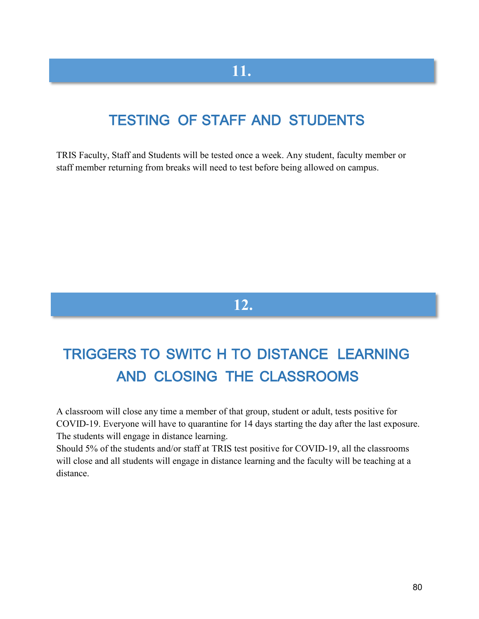# **11.**

# TESTING OF STAFF AND STUDENTS

TRIS Faculty, Staff and Students will be tested once a week. Any student, faculty member or staff member returning from breaks will need to test before being allowed on campus.

## **12.**

# TRIGGERS TO SWITC H TO DISTANCE LEARNING AND CLOSING THE CLASSROOMS

A classroom will close any time a member of that group, student or adult, tests positive for COVID-19. Everyone will have to quarantine for 14 days starting the day after the last exposure. The students will engage in distance learning.

Should 5% of the students and/or staff at TRIS test positive for COVID-19, all the classrooms will close and all students will engage in distance learning and the faculty will be teaching at a distance.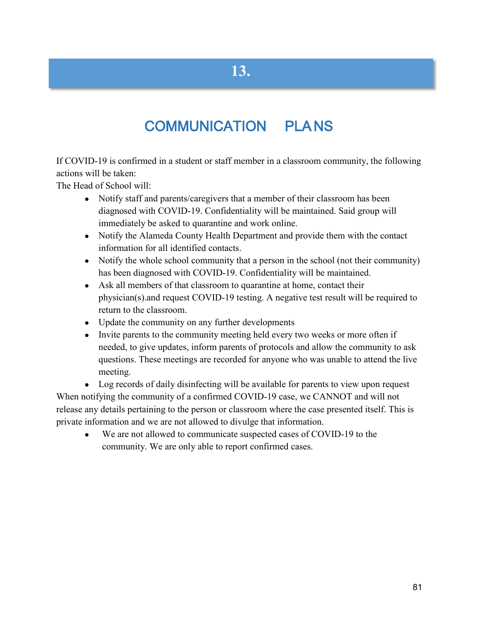# COMMUNICATION PLA NS

If COVID-19 is confirmed in a student or staff member in a classroom community, the following actions will be taken:

The Head of School will:

- Notify staff and parents/caregivers that a member of their classroom has been diagnosed with COVID-19. Confidentiality will be maintained. Said group will immediately be asked to quarantine and work online.
- Notify the Alameda County Health Department and provide them with the contact information for all identified contacts.
- Notify the whole school community that a person in the school (not their community) has been diagnosed with COVID-19. Confidentiality will be maintained.
- Ask all members of that classroom to quarantine at home, contact their physician(s).and request COVID-19 testing. A negative test result will be required to return to the classroom.
- Update the community on any further developments
- Invite parents to the community meeting held every two weeks or more often if needed, to give updates, inform parents of protocols and allow the community to ask questions. These meetings are recorded for anyone who was unable to attend the live meeting.

• Log records of daily disinfecting will be available for parents to view upon request When notifying the community of a confirmed COVID-19 case, we CANNOT and will not release any details pertaining to the person or classroom where the case presented itself. This is private information and we are not allowed to divulge that information.

• We are not allowed to communicate suspected cases of COVID-19 to the community. We are only able to report confirmed cases.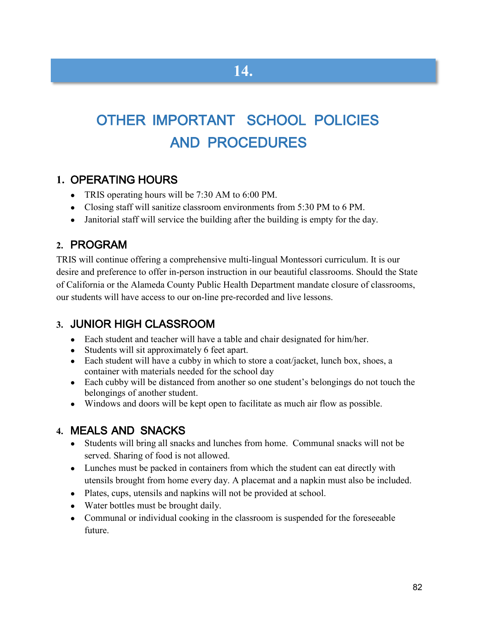# OTHER IMPORTANT SCHOOL POLICIES AND PROCEDURES

#### **1.** OPERATING HOURS

- TRIS operating hours will be 7:30 AM to 6:00 PM.
- Closing staff will sanitize classroom environments from 5:30 PM to 6 PM.
- Janitorial staff will service the building after the building is empty for the day.

#### **2.** PROGRAM

TRIS will continue offering a comprehensive multi-lingual Montessori curriculum. It is our desire and preference to offer in-person instruction in our beautiful classrooms. Should the State of California or the Alameda County Public Health Department mandate closure of classrooms, our students will have access to our on-line pre-recorded and live lessons.

#### **3.** JUNIOR HIGH CLASSROOM

- Each student and teacher will have a table and chair designated for him/her.
- Students will sit approximately 6 feet apart.
- Each student will have a cubby in which to store a coat/jacket, lunch box, shoes, a container with materials needed for the school day
- Each cubby will be distanced from another so one student's belongings do not touch the belongings of another student.
- Windows and doors will be kept open to facilitate as much air flow as possible.

#### **4.** MEALS AND SNACKS

- Students will bring all snacks and lunches from home. Communal snacks will not be served. Sharing of food is not allowed.
- Lunches must be packed in containers from which the student can eat directly with utensils brought from home every day. A placemat and a napkin must also be included.
- Plates, cups, utensils and napkins will not be provided at school.
- Water bottles must be brought daily.
- Communal or individual cooking in the classroom is suspended for the foreseeable future.